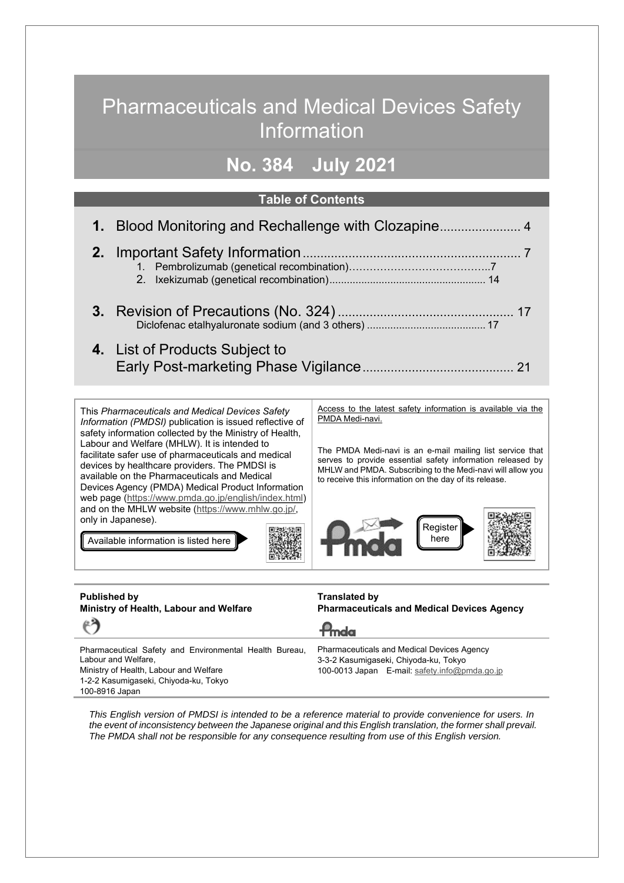# Pharmaceuticals and Medical Devices Safety Information

### **No. 384 July 2021**

#### **Table of Contents**

| 4. List of Products Subject to |
|--------------------------------|

This *Pharmaceuticals and Medical Devices Safety Information (PMDSI)* publication is issued reflective of safety information collected by the Ministry of Health, Labour and Welfare (MHLW). It is intended to facilitate safer use of pharmaceuticals and medical devices by healthcare providers. The PMDSI is available on the Pharmaceuticals and Medical Devices Agency (PMDA) Medical Product Information web page (https://www.pmda.go.jp/english/index.html) and on the MHLW website (https://www.mhlw.go.jp/, only in Japanese).

Available information is listed here

Access to the latest safety information is available via the PMDA Medi-navi.

The PMDA Medi-navi is an e-mail mailing list service that serves to provide essential safety information released by MHLW and PMDA. Subscribing to the Medi-navi will allow you to receive this information on the day of its release.



| <b>Published by</b><br>Ministry of Health, Labour and Welfare                 | <b>Translated by</b><br><b>Pharmaceuticals and Medical Devices Agency</b>                  |
|-------------------------------------------------------------------------------|--------------------------------------------------------------------------------------------|
| $\epsilon$                                                                    | $P_{\text{mda}}$                                                                           |
| Pharmaceutical Safety and Environmental Health Bureau,<br>Labour and Welfare, | <b>Pharmaceuticals and Medical Devices Agency</b><br>3-3-2 Kasumigaseki, Chiyoda-ku, Tokyo |
| Ministry of Health, Labour and Welfare                                        | 100-0013 Japan E-mail: safety.info@pmda.go.jp                                              |
| 1-2-2 Kasumigaseki, Chiyoda-ku, Tokyo<br>100-8916 Japan                       |                                                                                            |

*This English version of PMDSI is intended to be a reference material to provide convenience for users. In*  the event of inconsistency between the Japanese original and this English translation, the former shall prevail. *The PMDA shall not be responsible for any consequence resulting from use of this English version.*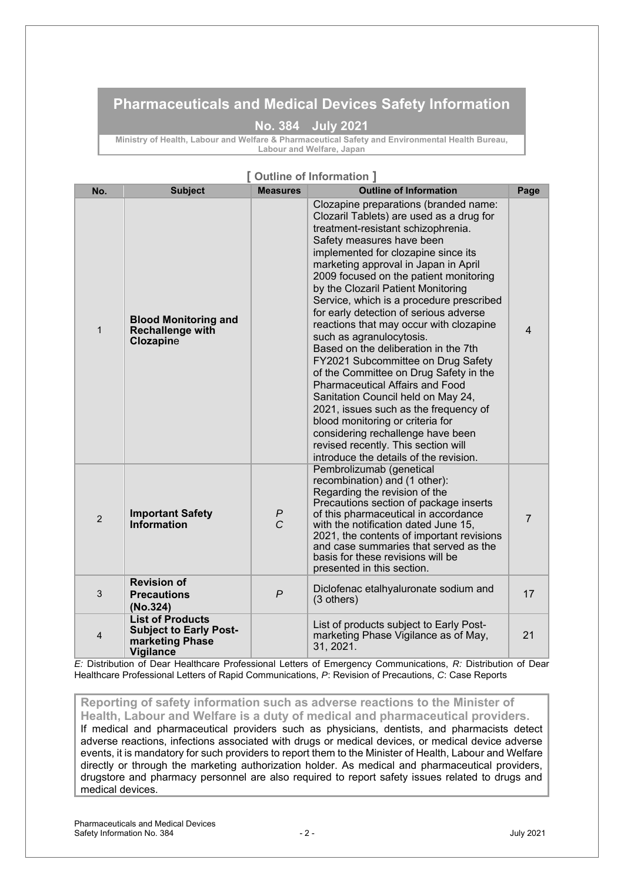### **Pharmaceuticals and Medical Devices Safety Information**

### **No. 384 July 2021**

**Ministry of Health, Labour and Welfare & Pharmaceutical Safety and Environmental Health Bureau, Labour and Welfare, Japan**

### **[ Outline of Information ]**

| No.            | <b>Subject</b>                                                                                  | <b>Measures</b>     | <b>Outline of Information</b>                                                                                                                                                                                                                                                                                                                                                                                                                                                                                                                                                                                                                                                                                                                                                                                                                                                               | Page           |
|----------------|-------------------------------------------------------------------------------------------------|---------------------|---------------------------------------------------------------------------------------------------------------------------------------------------------------------------------------------------------------------------------------------------------------------------------------------------------------------------------------------------------------------------------------------------------------------------------------------------------------------------------------------------------------------------------------------------------------------------------------------------------------------------------------------------------------------------------------------------------------------------------------------------------------------------------------------------------------------------------------------------------------------------------------------|----------------|
| $\mathbf{1}$   | <b>Blood Monitoring and</b><br><b>Rechallenge with</b><br><b>Clozapine</b>                      |                     | Clozapine preparations (branded name:<br>Clozaril Tablets) are used as a drug for<br>treatment-resistant schizophrenia.<br>Safety measures have been<br>implemented for clozapine since its<br>marketing approval in Japan in April<br>2009 focused on the patient monitoring<br>by the Clozaril Patient Monitoring<br>Service, which is a procedure prescribed<br>for early detection of serious adverse<br>reactions that may occur with clozapine<br>such as agranulocytosis.<br>Based on the deliberation in the 7th<br>FY2021 Subcommittee on Drug Safety<br>of the Committee on Drug Safety in the<br><b>Pharmaceutical Affairs and Food</b><br>Sanitation Council held on May 24,<br>2021, issues such as the frequency of<br>blood monitoring or criteria for<br>considering rechallenge have been<br>revised recently. This section will<br>introduce the details of the revision. | $\overline{4}$ |
| $\overline{2}$ | <b>Important Safety</b><br>Information                                                          | P<br>$\overline{C}$ | Pembrolizumab (genetical<br>recombination) and (1 other):<br>Regarding the revision of the<br>Precautions section of package inserts<br>of this pharmaceutical in accordance<br>with the notification dated June 15,<br>2021, the contents of important revisions<br>and case summaries that served as the<br>basis for these revisions will be<br>presented in this section.                                                                                                                                                                                                                                                                                                                                                                                                                                                                                                               | $\overline{7}$ |
| 3              | <b>Revision of</b><br><b>Precautions</b><br>(No.324)                                            | $\overline{P}$      | Diclofenac etalhyaluronate sodium and<br>(3 others)                                                                                                                                                                                                                                                                                                                                                                                                                                                                                                                                                                                                                                                                                                                                                                                                                                         | 17             |
| $\overline{4}$ | <b>List of Products</b><br><b>Subject to Early Post-</b><br>marketing Phase<br><b>Vigilance</b> |                     | List of products subject to Early Post-<br>marketing Phase Vigilance as of May,<br>31, 2021.                                                                                                                                                                                                                                                                                                                                                                                                                                                                                                                                                                                                                                                                                                                                                                                                | 21             |

*E:* Distribution of Dear Healthcare Professional Letters of Emergency Communications, *R:* Distribution of Dear Healthcare Professional Letters of Rapid Communications, *P*: Revision of Precautions, *C*: Case Reports

**Reporting of safety information such as adverse reactions to the Minister of** 

**Health, Labour and Welfare is a duty of medical and pharmaceutical providers.**  If medical and pharmaceutical providers such as physicians, dentists, and pharmacists detect adverse reactions, infections associated with drugs or medical devices, or medical device adverse events, it is mandatory for such providers to report them to the Minister of Health, Labour and Welfare directly or through the marketing authorization holder. As medical and pharmaceutical providers, drugstore and pharmacy personnel are also required to report safety issues related to drugs and medical devices.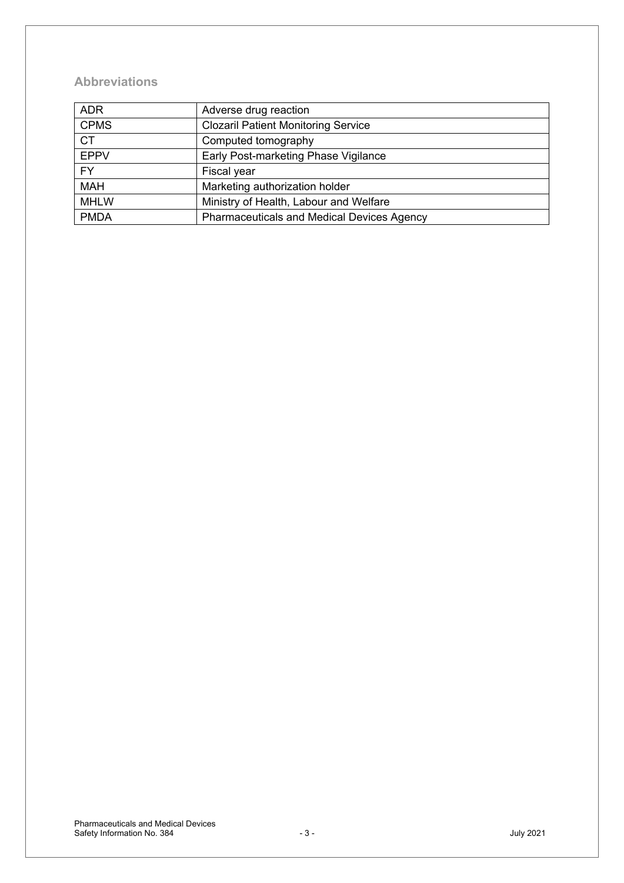### **Abbreviations**

| <b>ADR</b>  | Adverse drug reaction                             |
|-------------|---------------------------------------------------|
| <b>CPMS</b> | <b>Clozaril Patient Monitoring Service</b>        |
| <b>CT</b>   | Computed tomography                               |
| <b>EPPV</b> | Early Post-marketing Phase Vigilance              |
| <b>FY</b>   | Fiscal year                                       |
| <b>MAH</b>  | Marketing authorization holder                    |
| <b>MHLW</b> | Ministry of Health, Labour and Welfare            |
| <b>PMDA</b> | <b>Pharmaceuticals and Medical Devices Agency</b> |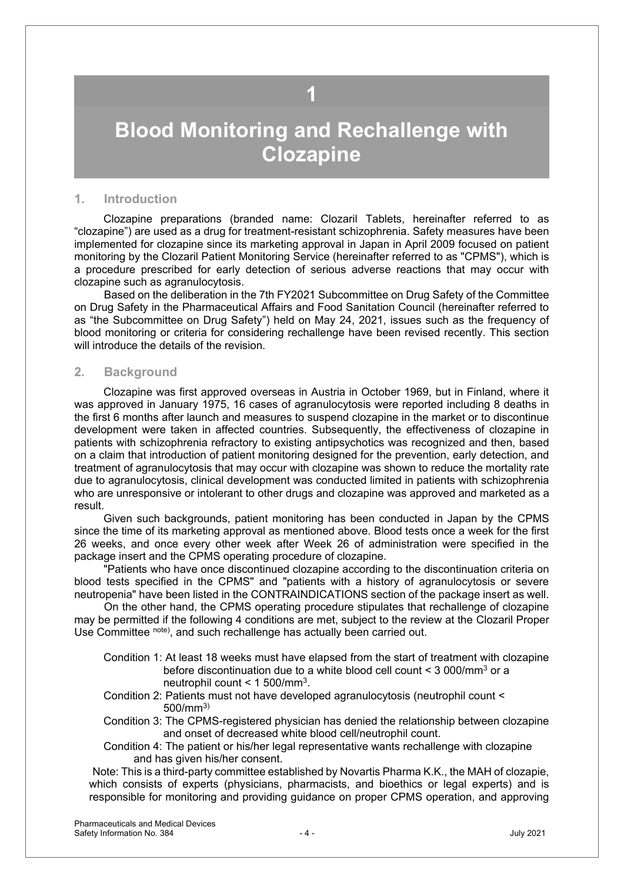### **1**

## <span id="page-3-0"></span>**Blood Monitoring and Rechallenge with Clozapine**

#### **1. Introduction**

Clozapine preparations (branded name: Clozaril Tablets, hereinafter referred to as "clozapine") are used as a drug for treatment-resistant schizophrenia. Safety measures have been implemented for clozapine since its marketing approval in Japan in April 2009 focused on patient monitoring by the Clozaril Patient Monitoring Service (hereinafter referred to as "CPMS"), which is a procedure prescribed for early detection of serious adverse reactions that may occur with clozapine such as agranulocytosis.

 Based on the deliberation in the 7th FY2021 Subcommittee on Drug Safety of the Committee on Drug Safety in the Pharmaceutical Affairs and Food Sanitation Council (hereinafter referred to as "the Subcommittee on Drug Safety") held on May 24, 2021, issues such as the frequency of blood monitoring or criteria for considering rechallenge have been revised recently. This section will introduce the details of the revision.

#### **2. Background**

Clozapine was first approved overseas in Austria in October 1969, but in Finland, where it was approved in January 1975, 16 cases of agranulocytosis were reported including 8 deaths in the first 6 months after launch and measures to suspend clozapine in the market or to discontinue development were taken in affected countries. Subsequently, the effectiveness of clozapine in patients with schizophrenia refractory to existing antipsychotics was recognized and then, based on a claim that introduction of patient monitoring designed for the prevention, early detection, and treatment of agranulocytosis that may occur with clozapine was shown to reduce the mortality rate due to agranulocytosis, clinical development was conducted limited in patients with schizophrenia who are unresponsive or intolerant to other drugs and clozapine was approved and marketed as a result.

Given such backgrounds, patient monitoring has been conducted in Japan by the CPMS since the time of its marketing approval as mentioned above. Blood tests once a week for the first 26 weeks, and once every other week after Week 26 of administration were specified in the package insert and the CPMS operating procedure of clozapine.

"Patients who have once discontinued clozapine according to the discontinuation criteria on blood tests specified in the CPMS" and "patients with a history of agranulocytosis or severe neutropenia" have been listed in the CONTRAINDICATIONS section of the package insert as well.

 On the other hand, the CPMS operating procedure stipulates that rechallenge of clozapine may be permitted if the following 4 conditions are met, subject to the review at the Clozaril Proper Use Committee note), and such rechallenge has actually been carried out.

- Condition 1: At least 18 weeks must have elapsed from the start of treatment with clozapine before discontinuation due to a white blood cell count < 3 000/mm3 or a neutrophil count < 1 500/mm3.
- Condition 2: Patients must not have developed agranulocytosis (neutrophil count < 500/mm3)
- Condition 3: The CPMS-registered physician has denied the relationship between clozapine and onset of decreased white blood cell/neutrophil count.

Condition 4: The patient or his/her legal representative wants rechallenge with clozapine and has given his/her consent.

Note: This is a third-party committee established by Novartis Pharma K.K., the MAH of clozapie, which consists of experts (physicians, pharmacists, and bioethics or legal experts) and is responsible for monitoring and providing guidance on proper CPMS operation, and approving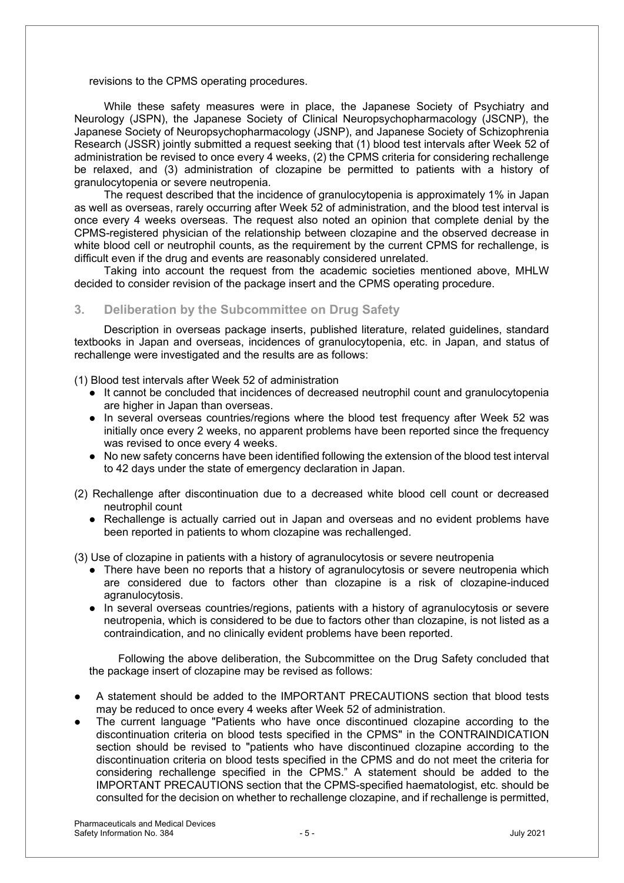revisions to the CPMS operating procedures.

While these safety measures were in place, the Japanese Society of Psychiatry and Neurology (JSPN), the Japanese Society of Clinical Neuropsychopharmacology (JSCNP), the Japanese Society of Neuropsychopharmacology (JSNP), and Japanese Society of Schizophrenia Research (JSSR) jointly submitted a request seeking that (1) blood test intervals after Week 52 of administration be revised to once every 4 weeks, (2) the CPMS criteria for considering rechallenge be relaxed, and (3) administration of clozapine be permitted to patients with a history of granulocytopenia or severe neutropenia.

The request described that the incidence of granulocytopenia is approximately 1% in Japan as well as overseas, rarely occurring after Week 52 of administration, and the blood test interval is once every 4 weeks overseas. The request also noted an opinion that complete denial by the CPMS-registered physician of the relationship between clozapine and the observed decrease in white blood cell or neutrophil counts, as the requirement by the current CPMS for rechallenge, is difficult even if the drug and events are reasonably considered unrelated.

Taking into account the request from the academic societies mentioned above, MHLW decided to consider revision of the package insert and the CPMS operating procedure.

#### **3. Deliberation by the Subcommittee on Drug Safety**

Description in overseas package inserts, published literature, related guidelines, standard textbooks in Japan and overseas, incidences of granulocytopenia, etc. in Japan, and status of rechallenge were investigated and the results are as follows:

(1) Blood test intervals after Week 52 of administration

- $\bullet$  It cannot be concluded that incidences of decreased neutrophil count and granulocytopenia are higher in Japan than overseas.
- In several overseas countries/regions where the blood test frequency after Week 52 was initially once every 2 weeks, no apparent problems have been reported since the frequency was revised to once every 4 weeks.
- $\bullet$  No new safety concerns have been identified following the extension of the blood test interval to 42 days under the state of emergency declaration in Japan.
- (2) Rechallenge after discontinuation due to a decreased white blood cell count or decreased neutrophil count
	- Rechallenge is actually carried out in Japan and overseas and no evident problems have been reported in patients to whom clozapine was rechallenged.

(3) Use of clozapine in patients with a history of agranulocytosis or severe neutropenia

- $\bullet$  There have been no reports that a history of agranulocytosis or severe neutropenia which are considered due to factors other than clozapine is a risk of clozapine-induced agranulocytosis.
- In several overseas countries/regions, patients with a history of agranulocytosis or severe neutropenia, which is considered to be due to factors other than clozapine, is not listed as a contraindication, and no clinically evident problems have been reported.

Following the above deliberation, the Subcommittee on the Drug Safety concluded that the package insert of clozapine may be revised as follows:

- A statement should be added to the IMPORTANT PRECAUTIONS section that blood tests may be reduced to once every 4 weeks after Week 52 of administration.
- The current language "Patients who have once discontinued clozapine according to the discontinuation criteria on blood tests specified in the CPMS" in the CONTRAINDICATION section should be revised to "patients who have discontinued clozapine according to the discontinuation criteria on blood tests specified in the CPMS and do not meet the criteria for considering rechallenge specified in the CPMS." A statement should be added to the IMPORTANT PRECAUTIONS section that the CPMS-specified haematologist, etc. should be consulted for the decision on whether to rechallenge clozapine, and if rechallenge is permitted,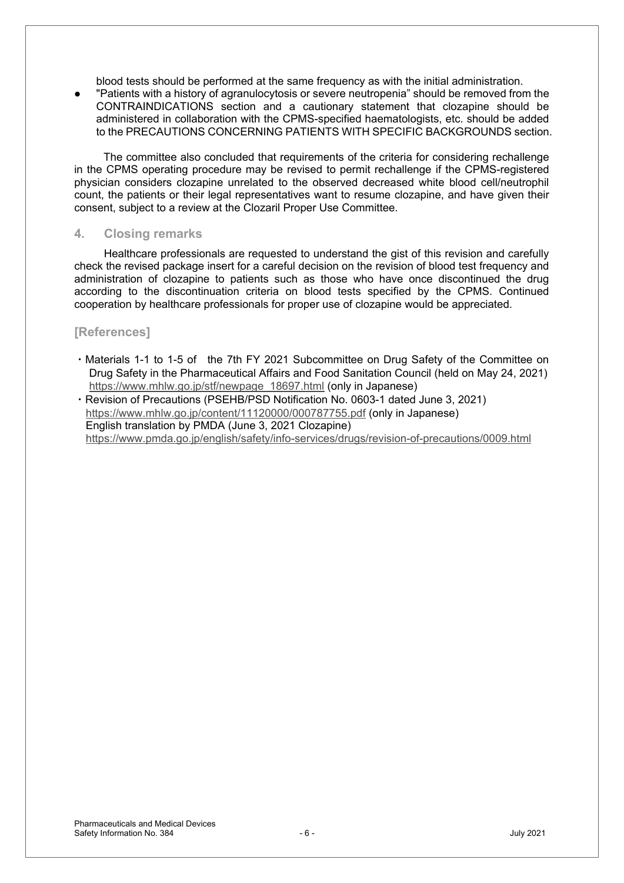blood tests should be performed at the same frequency as with the initial administration.

"Patients with a history of agranulocytosis or severe neutropenia" should be removed from the CONTRAINDICATIONS section and a cautionary statement that clozapine should be administered in collaboration with the CPMS-specified haematologists, etc. should be added to the PRECAUTIONS CONCERNING PATIENTS WITH SPECIFIC BACKGROUNDS section.

The committee also concluded that requirements of the criteria for considering rechallenge in the CPMS operating procedure may be revised to permit rechallenge if the CPMS-registered physician considers clozapine unrelated to the observed decreased white blood cell/neutrophil count, the patients or their legal representatives want to resume clozapine, and have given their consent, subject to a review at the Clozaril Proper Use Committee.

#### **4. Closing remarks**

Healthcare professionals are requested to understand the gist of this revision and carefully check the revised package insert for a careful decision on the revision of blood test frequency and administration of clozapine to patients such as those who have once discontinued the drug according to the discontinuation criteria on blood tests specified by the CPMS. Continued cooperation by healthcare professionals for proper use of clozapine would be appreciated.

#### **[References]**

• Materials 1-1 to 1-5 of the 7th FY 2021 Subcommittee on Drug Safety of the Committee on Drug Safety in the Pharmaceutical Affairs and Food Sanitation Council (held on May 24, 2021) https://www.mhlw.go.jp/stf/newpage\_18697.html (only in Japanese)

• Revision of Precautions (PSEHB/PSD Notification No. 0603-1 dated June 3, 2021) https://www.mhlw.go.jp/content/11120000/000787755.pdf (only in Japanese) English translation by PMDA (June 3, 2021 Clozapine) https://www.pmda.go.jp/english/safety/info-services/drugs/revision-of-precautions/0009.html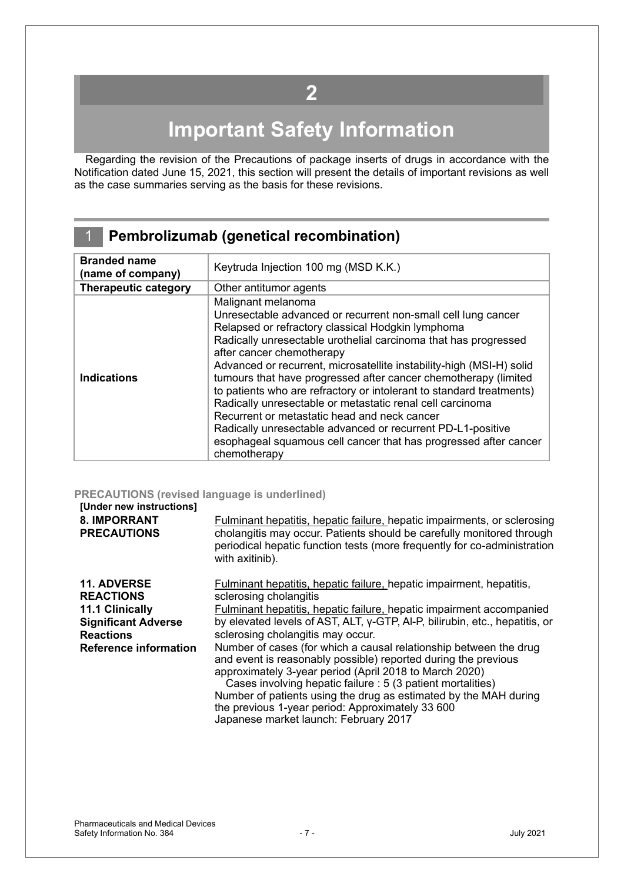## **2**

# **Important Safety Information**

<span id="page-6-0"></span>Regarding the revision of the Precautions of package inserts of drugs in accordance with the Notification dated June 15, 2021, this section will present the details of important revisions as well as the case summaries serving as the basis for these revisions.

### 1 **Pembrolizumab (genetical recombination)**

| <b>Branded name</b><br>(name of company) | Keytruda Injection 100 mg (MSD K.K.)                                                                                                                                                                                                                                                                                                                                                                                                                                                                                                                                                                                                                                                                                        |
|------------------------------------------|-----------------------------------------------------------------------------------------------------------------------------------------------------------------------------------------------------------------------------------------------------------------------------------------------------------------------------------------------------------------------------------------------------------------------------------------------------------------------------------------------------------------------------------------------------------------------------------------------------------------------------------------------------------------------------------------------------------------------------|
| <b>Therapeutic category</b>              | Other antitumor agents                                                                                                                                                                                                                                                                                                                                                                                                                                                                                                                                                                                                                                                                                                      |
| <b>Indications</b>                       | Malignant melanoma<br>Unresectable advanced or recurrent non-small cell lung cancer<br>Relapsed or refractory classical Hodgkin lymphoma<br>Radically unresectable urothelial carcinoma that has progressed<br>after cancer chemotherapy<br>Advanced or recurrent, microsatellite instability-high (MSI-H) solid<br>tumours that have progressed after cancer chemotherapy (limited<br>to patients who are refractory or intolerant to standard treatments)<br>Radically unresectable or metastatic renal cell carcinoma<br>Recurrent or metastatic head and neck cancer<br>Radically unresectable advanced or recurrent PD-L1-positive<br>esophageal squamous cell cancer that has progressed after cancer<br>chemotherapy |

#### **PRECAUTIONS (revised language is underlined)**

#### **[Under new instructions] 8. IMPORRANT PRECAUTIONS** Fulminant hepatitis, hepatic failure, hepatic impairments, or sclerosing cholangitis may occur. Patients should be carefully monitored through periodical hepatic function tests (more frequently for co-administration with axitinib). **11. ADVERSE REACTIONS 11.1 Clinically Significant Adverse Reactions**  Fulminant hepatitis, hepatic failure, hepatic impairment, hepatitis, sclerosing cholangitis Fulminant hepatitis, hepatic failure, hepatic impairment accompanied by elevated levels of AST, ALT, γ-GTP, Al-P, bilirubin, etc., hepatitis, or sclerosing cholangitis may occur. **Reference information** Number of cases (for which a causal relationship between the drug and event is reasonably possible) reported during the previous approximately 3-year period (April 2018 to March 2020) Cases involving hepatic failure : 5 (3 patient mortalities) Number of patients using the drug as estimated by the MAH during the previous 1-year period: Approximately 33 600 Japanese market launch: February 2017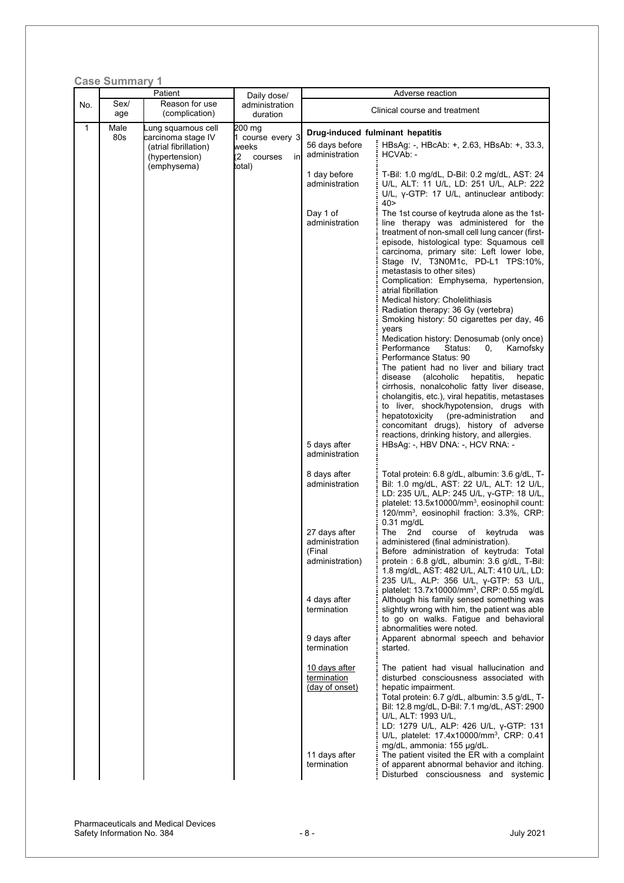|     | <b>Case Summary 1</b> |                                                        |                                          |                                                              |                                                                                                                                                                                                                                                                                                                                                                                                                                                                                                                                                                                                                                                                                                                                                                                                                                                                                                                                                                                                                                                        |
|-----|-----------------------|--------------------------------------------------------|------------------------------------------|--------------------------------------------------------------|--------------------------------------------------------------------------------------------------------------------------------------------------------------------------------------------------------------------------------------------------------------------------------------------------------------------------------------------------------------------------------------------------------------------------------------------------------------------------------------------------------------------------------------------------------------------------------------------------------------------------------------------------------------------------------------------------------------------------------------------------------------------------------------------------------------------------------------------------------------------------------------------------------------------------------------------------------------------------------------------------------------------------------------------------------|
| No. | Sex/                  | Patient<br>Reason for use                              | Daily dose/<br>administration            |                                                              | Adverse reaction                                                                                                                                                                                                                                                                                                                                                                                                                                                                                                                                                                                                                                                                                                                                                                                                                                                                                                                                                                                                                                       |
|     | age                   | (complication)                                         | duration                                 |                                                              | Clinical course and treatment                                                                                                                                                                                                                                                                                                                                                                                                                                                                                                                                                                                                                                                                                                                                                                                                                                                                                                                                                                                                                          |
| 1   | Male<br>80s           | ung squamous cell<br>carcinoma stage IV                | 200 mg<br>1 course every 3               | Drug-induced fulminant hepatitis                             |                                                                                                                                                                                                                                                                                                                                                                                                                                                                                                                                                                                                                                                                                                                                                                                                                                                                                                                                                                                                                                                        |
|     |                       | (atrial fibrillation)<br>(hypertension)<br>(emphysema) | weeks<br>(2)<br>courses<br>inl<br>total) | 56 days before<br>administration                             | HBsAg: -, HBcAb: +, 2.63, HBsAb: +, 33.3,<br>HCVAb: -                                                                                                                                                                                                                                                                                                                                                                                                                                                                                                                                                                                                                                                                                                                                                                                                                                                                                                                                                                                                  |
|     |                       |                                                        |                                          | 1 day before<br>administration                               | T-Bil: 1.0 mg/dL, D-Bil: 0.2 mg/dL, AST: 24<br>U/L, ALT: 11 U/L, LD: 251 U/L, ALP: 222<br>U/L, $y$ -GTP: 17 U/L, antinuclear antibody:<br>40 >                                                                                                                                                                                                                                                                                                                                                                                                                                                                                                                                                                                                                                                                                                                                                                                                                                                                                                         |
|     |                       |                                                        |                                          | Day 1 of<br>administration<br>5 days after                   | The 1st course of keytruda alone as the 1st-<br>line therapy was administered for the<br>treatment of non-small cell lung cancer (first-<br>episode, histological type: Squamous cell<br>carcinoma, primary site: Left lower lobe,<br>Stage IV, T3N0M1c, PD-L1 TPS:10%,<br>metastasis to other sites)<br>Complication: Emphysema, hypertension,<br>atrial fibrillation<br>Medical history: Cholelithiasis<br>Radiation therapy: 36 Gy (vertebra)<br>Smoking history: 50 cigarettes per day, 46<br>years<br>Medication history: Denosumab (only once)<br>Performance<br>Status:<br>0.<br>Karnofsky<br>Performance Status: 90<br>The patient had no liver and biliary tract<br>hepatitis,<br>disease<br>(alcoholic<br>hepatic<br>cirrhosis, nonalcoholic fatty liver disease,<br>cholangitis, etc.), viral hepatitis, metastases<br>to liver, shock/hypotension, drugs with<br>hepatotoxicity<br>(pre-administration<br>and<br>concomitant drugs), history of adverse<br>reactions, drinking history, and allergies.<br>HBsAg: -, HBV DNA: -, HCV RNA: - |
|     |                       |                                                        |                                          | administration<br>8 days after<br>administration             | Total protein: 6.8 g/dL, albumin: 3.6 g/dL, T-<br>Bil: 1.0 mg/dL, AST: 22 U/L, ALT: 12 U/L,<br>LD: 235 U/L, ALP: 245 U/L, y-GTP: 18 U/L,<br>platelet: 13.5x10000/mm <sup>3</sup> , eosinophil count:                                                                                                                                                                                                                                                                                                                                                                                                                                                                                                                                                                                                                                                                                                                                                                                                                                                   |
|     |                       |                                                        |                                          | 27 days after<br>administration<br>(Final<br>administration) | 120/mm <sup>3</sup> , eosinophil fraction: 3.3%, CRP:<br>$0.31$ mg/dL<br>of<br>keytruda<br>The 2nd<br>course<br>was<br>administered (final administration).<br>Before administration of keytruda: Total<br>protein: 6.8 g/dL, albumin: 3.6 g/dL, T-Bil:<br>1.8 mg/dL, AST: 482 U/L, ALT: 410 U/L, LD:<br>235 U/L, ALP: 356 U/L, y-GTP: 53 U/L,                                                                                                                                                                                                                                                                                                                                                                                                                                                                                                                                                                                                                                                                                                         |
|     |                       |                                                        |                                          | 4 days after<br>termination<br>9 days after                  | platelet: 13.7x10000/mm <sup>3</sup> , CRP: 0.55 mg/dL<br>Although his family sensed something was<br>slightly wrong with him, the patient was able<br>to go on walks. Fatigue and behavioral<br>abnormalities were noted.<br>Apparent abnormal speech and behavior                                                                                                                                                                                                                                                                                                                                                                                                                                                                                                                                                                                                                                                                                                                                                                                    |
|     |                       |                                                        |                                          | termination                                                  | started.                                                                                                                                                                                                                                                                                                                                                                                                                                                                                                                                                                                                                                                                                                                                                                                                                                                                                                                                                                                                                                               |
|     |                       |                                                        |                                          | 10 days after<br>termination<br>(day of onset)               | The patient had visual hallucination and<br>disturbed consciousness associated with<br>hepatic impairment.<br>Total protein: 6.7 g/dL, albumin: 3.5 g/dL, T-<br>Bil: 12.8 mg/dL, D-Bil: 7.1 mg/dL, AST: 2900<br>U/L, ALT: 1993 U/L,<br>LD: 1279 U/L, ALP: 426 U/L, y-GTP: 131<br>U/L, platelet: 17.4x10000/mm <sup>3</sup> , CRP: 0.41                                                                                                                                                                                                                                                                                                                                                                                                                                                                                                                                                                                                                                                                                                                 |
|     |                       |                                                        |                                          | 11 days after<br>termination                                 | mg/dL, ammonia: 155 µg/dL.<br>The patient visited the ER with a complaint<br>of apparent abnormal behavior and itching.<br>Disturbed consciousness and systemic                                                                                                                                                                                                                                                                                                                                                                                                                                                                                                                                                                                                                                                                                                                                                                                                                                                                                        |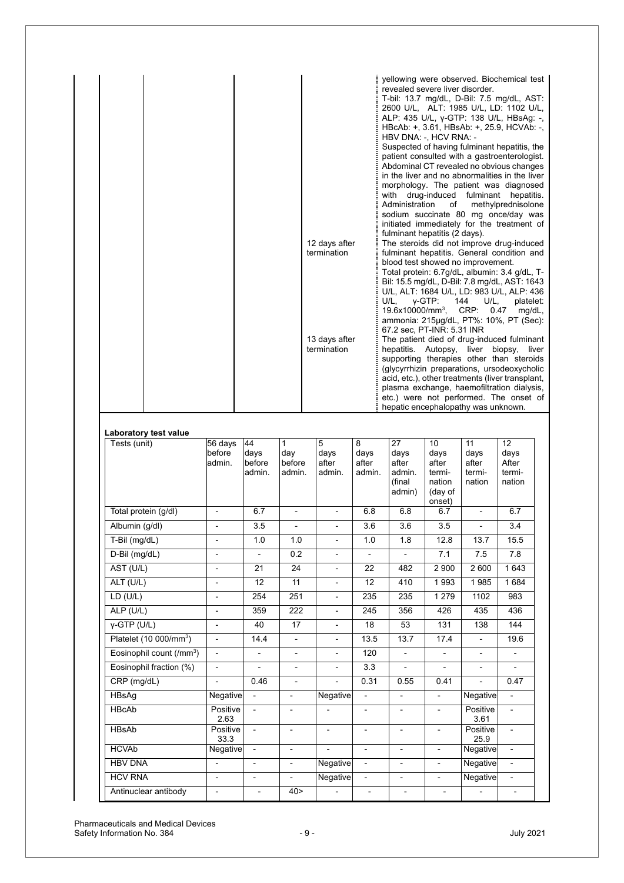|  | 12 days after<br>termination | yellowing were observed. Biochemical test<br>revealed severe liver disorder.<br>T-bil: 13.7 mg/dL, D-Bil: 7.5 mg/dL, AST:<br>2600 U/L, ALT: 1985 U/L, LD: 1102 U/L,<br>ALP: 435 U/L, γ-GTP: 138 U/L, HBsAg: -,<br>HBcAb: +, 3.61, HBsAb: +, 25.9, HCVAb: -,<br>HBV DNA: -, HCV RNA: -<br>Suspected of having fulminant hepatitis, the<br>patient consulted with a gastroenterologist.<br>Abdominal CT revealed no obvious changes<br>in the liver and no abnormalities in the liver<br>morphology. The patient was diagnosed<br>with drug-induced fulminant hepatitis.<br>of<br>methylprednisolone<br>Administration<br>sodium succinate 80 mg once/day was<br>initiated immediately for the treatment of<br>fulminant hepatitis (2 days).<br>The steroids did not improve drug-induced<br>fulminant hepatitis. General condition and<br>blood test showed no improvement.<br>Total protein: 6.7g/dL, albumin: 3.4 g/dL, T-<br>Bil: 15.5 mg/dL, D-Bil: 7.8 mg/dL, AST: 1643<br>U/L, ALT: 1684 U/L, LD: 983 U/L, ALP: 436<br>$U/L$ , $\gamma$ -GTP:<br>144 U/L,<br>platelet:<br>19.6x10000/mm <sup>3</sup> , CRP: 0.47<br>$mg/dL$ ,<br>ammonia: 215µg/dL, PT%: 10%, PT (Sec): |
|--|------------------------------|------------------------------------------------------------------------------------------------------------------------------------------------------------------------------------------------------------------------------------------------------------------------------------------------------------------------------------------------------------------------------------------------------------------------------------------------------------------------------------------------------------------------------------------------------------------------------------------------------------------------------------------------------------------------------------------------------------------------------------------------------------------------------------------------------------------------------------------------------------------------------------------------------------------------------------------------------------------------------------------------------------------------------------------------------------------------------------------------------------------------------------------------------------------------------|
|  | 13 days after<br>termination | 67.2 sec, PT-INR: 5.31 INR<br>The patient died of drug-induced fulminant<br>hepatitis. Autopsy, liver<br>biopsy, liver<br>supporting therapies other than steroids<br>(glycyrrhizin preparations, ursodeoxycholic<br>acid, etc.), other treatments (liver transplant,<br>plasma exchange, haemofiltration dialysis,<br>etc.) were not performed. The onset of<br>hepatic encephalopathy was unknown.                                                                                                                                                                                                                                                                                                                                                                                                                                                                                                                                                                                                                                                                                                                                                                         |

#### **Laboratory test value**

| Tests (unit)                         | 56 days<br>before<br>admin. | 44<br>days<br>before<br>admin. | $\mathbf{1}$<br>day<br>before<br>admin. | 5<br>days<br>after<br>admin. | 8<br>days<br>after<br>admin. | 27<br>days<br>after<br>admin.<br>(final<br>admin) | 10<br>days<br>after<br>termi-<br>nation<br>(day of<br>onset) | 11<br>days<br>after<br>termi-<br>nation | 12<br>days<br>After<br>termi-<br>nation |
|--------------------------------------|-----------------------------|--------------------------------|-----------------------------------------|------------------------------|------------------------------|---------------------------------------------------|--------------------------------------------------------------|-----------------------------------------|-----------------------------------------|
| Total protein (g/dl)                 | $\overline{\phantom{a}}$    | 6.7                            | ÷,                                      | $\overline{\phantom{a}}$     | 6.8                          | 6.8                                               | 6.7                                                          | $\blacksquare$                          | 6.7                                     |
| Albumin (g/dl)                       | $\overline{a}$              | 3.5                            | ÷,                                      | $\overline{\phantom{a}}$     | 3.6                          | 3.6                                               | 3.5                                                          | $\overline{a}$                          | 3.4                                     |
| T-Bil (mg/dL)                        | $\overline{a}$              | 1.0                            | 1.0                                     | $\overline{\phantom{0}}$     | 1.0                          | 1.8                                               | 12.8                                                         | 13.7                                    | 15.5                                    |
| D-Bil (mg/dL)                        | $\overline{a}$              | $\overline{\phantom{0}}$       | 0.2                                     | $\overline{\phantom{0}}$     | $\overline{\phantom{0}}$     | $\overline{\phantom{a}}$                          | 7.1                                                          | 7.5                                     | 7.8                                     |
| AST (U/L)                            | $\overline{a}$              | 21                             | 24                                      | $\overline{\phantom{a}}$     | 22                           | 482                                               | 2 9 0 0                                                      | 2600                                    | 1643                                    |
| ALT (U/L)                            |                             | 12                             | 11                                      | $\overline{\phantom{a}}$     | 12                           | 410                                               | 1993                                                         | 1985                                    | 1684                                    |
| LD(U/L)                              | $\overline{a}$              | 254                            | 251                                     | $\overline{a}$               | 235                          | 235                                               | 1 2 7 9                                                      | 1102                                    | 983                                     |
| $ALP$ (U/L)                          | $\overline{a}$              | 359                            | 222                                     | $\overline{\phantom{0}}$     | 245                          | 356                                               | 426                                                          | 435                                     | 436                                     |
| $Y-GTP$ (U/L)                        | $\overline{a}$              | 40                             | 17                                      | $\overline{a}$               | 18                           | 53                                                | 131                                                          | 138                                     | 144                                     |
| Platelet (10 000/mm <sup>3</sup> )   | $\overline{a}$              | 14.4                           | $\overline{a}$                          | $\overline{\phantom{a}}$     | 13.5                         | 13.7                                              | 17.4                                                         | $\overline{\phantom{a}}$                | 19.6                                    |
| Eosinophil count (/mm <sup>3</sup> ) | $\overline{\phantom{a}}$    | $\overline{\phantom{a}}$       | $\overline{\phantom{0}}$                | $\overline{\phantom{a}}$     | 120                          | $\overline{\phantom{a}}$                          | $\overline{\phantom{a}}$                                     | $\overline{\phantom{a}}$                | $\qquad \qquad \blacksquare$            |
| Eosinophil fraction (%)              | $\overline{a}$              | $\overline{a}$                 | $\overline{a}$                          | $\overline{a}$               | 3.3                          | $\overline{a}$                                    | $\blacksquare$                                               | $\overline{a}$                          | $\overline{a}$                          |
| $CRP$ (mg/dL)                        | $\overline{a}$              | 0.46                           | $\overline{\phantom{0}}$                | $\overline{\phantom{0}}$     | 0.31                         | 0.55                                              | 0.41                                                         | ÷,                                      | 0.47                                    |
| HBsAq                                | Negative                    | $\frac{1}{2}$                  | $\overline{a}$                          | Negative                     | L.                           | $\blacksquare$                                    | $\overline{a}$                                               | Negative                                |                                         |
| <b>HBcAb</b>                         | Positive<br>2.63            | $\sim$                         | L,                                      |                              | -                            | $\blacksquare$                                    | L,                                                           | Positive<br>3.61                        |                                         |
| <b>HBsAb</b>                         | Positive<br>33.3            | $\sim$                         | $\overline{\phantom{a}}$                |                              | $\overline{\phantom{0}}$     | $\overline{\phantom{a}}$                          | $\overline{\phantom{0}}$                                     | Positive<br>25.9                        | $\overline{\phantom{0}}$                |
| <b>HCVAb</b>                         | Negative                    | $\blacksquare$                 | $\overline{\phantom{a}}$                |                              | $\overline{\phantom{a}}$     | $\overline{\phantom{a}}$                          | $\overline{\phantom{0}}$                                     | Negative                                |                                         |
| <b>HBV DNA</b>                       | $\overline{a}$              | $\overline{a}$                 | $\overline{a}$                          | Negative                     | $\overline{\phantom{0}}$     | $\blacksquare$                                    | $\overline{a}$                                               | Negative                                | $\overline{a}$                          |
| <b>HCV RNA</b>                       | $\overline{a}$              | $\overline{\phantom{a}}$       | $\overline{\phantom{a}}$                | Negative                     |                              | $\overline{\phantom{a}}$                          | $\overline{\phantom{0}}$                                     | Negative                                | $\overline{\phantom{0}}$                |
| Antinuclear antibody                 | $\blacksquare$              | $\overline{a}$                 | 40 >                                    |                              | $\blacksquare$               | $\overline{\phantom{0}}$                          | $\overline{\phantom{a}}$                                     |                                         |                                         |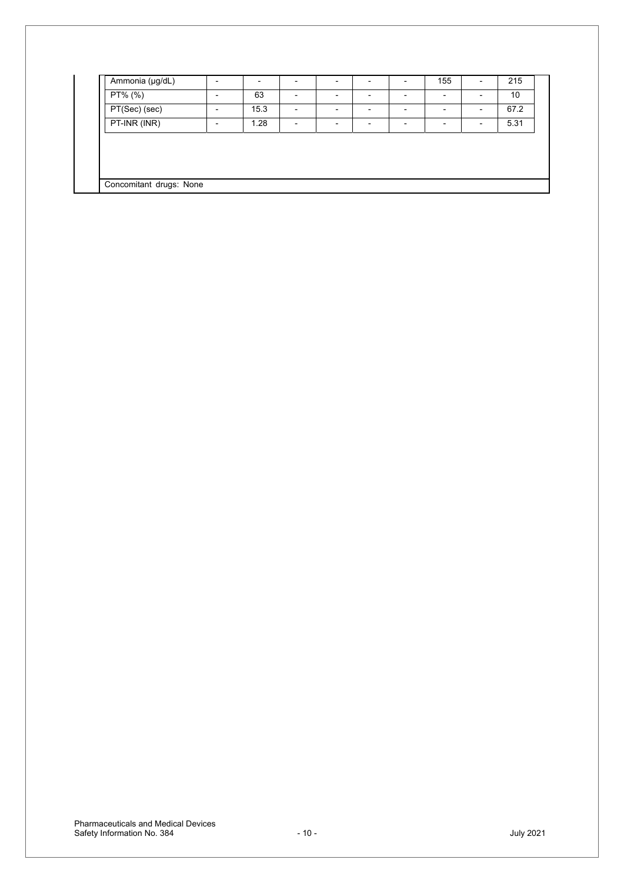| Ammonia (µg/dL)         |      |  |  | 155 | 215  |  |
|-------------------------|------|--|--|-----|------|--|
| $PT%$ (%)               | 63   |  |  |     | 10   |  |
| PT(Sec) (sec)           | 15.3 |  |  |     | 67.2 |  |
| PT-INR (INR)            | 1.28 |  |  |     | 5.31 |  |
|                         |      |  |  |     |      |  |
|                         |      |  |  |     |      |  |
|                         |      |  |  |     |      |  |
| Concomitant drugs: None |      |  |  |     |      |  |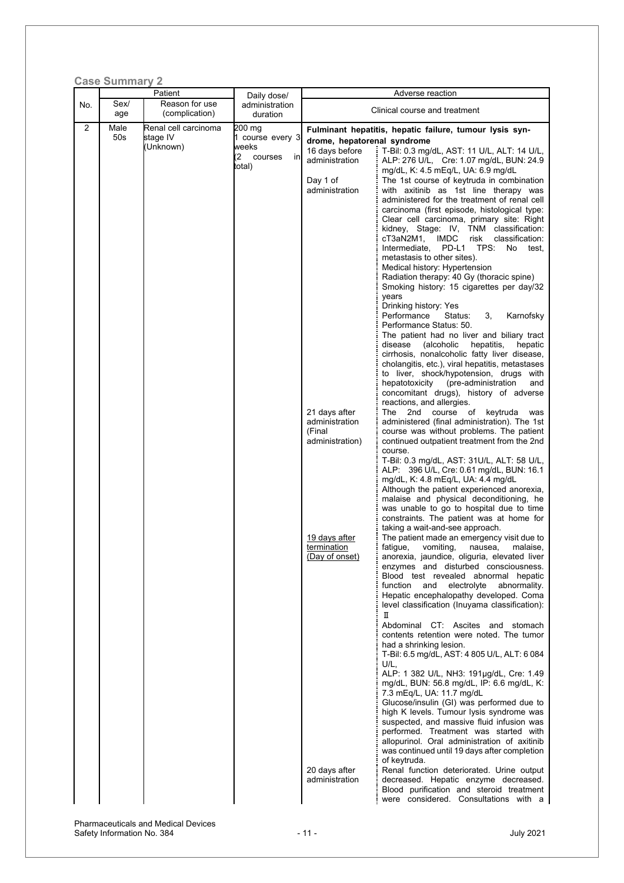|          | <b>Case Summary 2</b> |                                               |                                                                                        |                                                                                                                                                                                                                        |                                                                                                                                                                                                                                                                                                                                                                                                                                                                                                                                                                                                                                                                                                                                                                                                                                                                                                                                                                                                                                                                                                                                                                                                                                                                                                                                                                                                                                                                                                                                                                                                                                                                                                                                                                                                                                                                                                                                                                                                                                                                   |
|----------|-----------------------|-----------------------------------------------|----------------------------------------------------------------------------------------|------------------------------------------------------------------------------------------------------------------------------------------------------------------------------------------------------------------------|-------------------------------------------------------------------------------------------------------------------------------------------------------------------------------------------------------------------------------------------------------------------------------------------------------------------------------------------------------------------------------------------------------------------------------------------------------------------------------------------------------------------------------------------------------------------------------------------------------------------------------------------------------------------------------------------------------------------------------------------------------------------------------------------------------------------------------------------------------------------------------------------------------------------------------------------------------------------------------------------------------------------------------------------------------------------------------------------------------------------------------------------------------------------------------------------------------------------------------------------------------------------------------------------------------------------------------------------------------------------------------------------------------------------------------------------------------------------------------------------------------------------------------------------------------------------------------------------------------------------------------------------------------------------------------------------------------------------------------------------------------------------------------------------------------------------------------------------------------------------------------------------------------------------------------------------------------------------------------------------------------------------------------------------------------------------|
|          | Sex/                  | Patient<br>Reason for use                     | Daily dose/                                                                            |                                                                                                                                                                                                                        | Adverse reaction                                                                                                                                                                                                                                                                                                                                                                                                                                                                                                                                                                                                                                                                                                                                                                                                                                                                                                                                                                                                                                                                                                                                                                                                                                                                                                                                                                                                                                                                                                                                                                                                                                                                                                                                                                                                                                                                                                                                                                                                                                                  |
|          | age                   | (complication)                                | duration                                                                               |                                                                                                                                                                                                                        | Clinical course and treatment                                                                                                                                                                                                                                                                                                                                                                                                                                                                                                                                                                                                                                                                                                                                                                                                                                                                                                                                                                                                                                                                                                                                                                                                                                                                                                                                                                                                                                                                                                                                                                                                                                                                                                                                                                                                                                                                                                                                                                                                                                     |
| No.<br>2 | Male<br>50s           | Renal cell carcinoma<br>stage IV<br>(Unknown) | administration<br>200 mg<br>1 course every 3<br>weeks<br>(2<br>courses<br>in<br>total) | drome, hepatorenal syndrome<br>16 days before<br>administration<br>Day 1 of<br>administration<br>21 days after<br>administration<br>(Final<br>administration)<br>19 days after<br><u>termination</u><br>(Day of onset) | Fulminant hepatitis, hepatic failure, tumour lysis syn-<br>T-Bil: 0.3 mg/dL, AST: 11 U/L, ALT: 14 U/L,<br>ALP: 276 U/L, Cre: 1.07 mg/dL, BUN: 24.9<br>mg/dL, K: 4.5 mEq/L, UA: 6.9 mg/dL<br>The 1st course of keytruda in combination<br>with axitinib as 1st line therapy was<br>administered for the treatment of renal cell<br>carcinoma (first episode, histological type:<br>Clear cell carcinoma, primary site: Right<br>kidney, Stage: IV, TNM classification:<br>cT3aN2M1,<br><b>IMDC</b><br>risk<br>classification:<br>TPS:<br>Intermediate,<br>PD-L1<br>No<br>test,<br>metastasis to other sites).<br>Medical history: Hypertension<br>Radiation therapy: 40 Gy (thoracic spine)<br>Smoking history: 15 cigarettes per day/32<br>years<br>Drinking history: Yes<br>Performance<br>Karnofsky<br>Status:<br>3,<br>Performance Status: 50.<br>The patient had no liver and biliary tract<br>disease<br>(alcoholic<br>hepatitis,<br>hepatic<br>cirrhosis, nonalcoholic fatty liver disease,<br>cholangitis, etc.), viral hepatitis, metastases<br>to liver, shock/hypotension, drugs with<br>hepatotoxicity<br>(pre-administration<br>and<br>concomitant drugs), history of adverse<br>reactions, and allergies.<br>The<br>2nd<br>course<br>of<br>keytruda<br>was<br>administered (final administration). The 1st<br>course was without problems. The patient<br>continued outpatient treatment from the 2nd<br>course.<br>T-Bil: 0.3 mg/dL, AST: 31U/L, ALT: 58 U/L,<br>ALP: 396 U/L, Cre. 0.61 mg/dL, BUN: 16.1<br>mg/dL, K: 4.8 mEg/L, UA: 4.4 mg/dL<br>Although the patient experienced anorexia,<br>malaise and physical deconditioning, he<br>was unable to go to hospital due to time<br>constraints. The patient was at home for<br>taking a wait-and-see approach.<br>The patient made an emergency visit due to<br>fatigue,<br>vomiting,<br>nausea,<br>malaise,<br>anorexia, jaundice, oliguria, elevated liver<br>enzymes and disturbed consciousness.<br>Blood test revealed abnormal hepatic<br>function<br>and<br>electrolyte<br>abnormality. |
|          |                       |                                               |                                                                                        |                                                                                                                                                                                                                        | Hepatic encephalopathy developed. Coma<br>level classification (Inuyama classification):<br>П<br>Abdominal CT: Ascites and stomach<br>contents retention were noted. The tumor<br>had a shrinking lesion.<br>T-Bil: 6.5 mg/dL, AST: 4 805 U/L, ALT: 6 084<br>U/L,                                                                                                                                                                                                                                                                                                                                                                                                                                                                                                                                                                                                                                                                                                                                                                                                                                                                                                                                                                                                                                                                                                                                                                                                                                                                                                                                                                                                                                                                                                                                                                                                                                                                                                                                                                                                 |
|          |                       |                                               |                                                                                        | 20 days after<br>administration                                                                                                                                                                                        | ALP: 1 382 U/L, NH3: 191µg/dL, Cre: 1.49<br>mg/dL, BUN: 56.8 mg/dL, IP: 6.6 mg/dL, K:<br>7.3 mEq/L, UA: 11.7 mg/dL<br>Glucose/insulin (GI) was performed due to<br>high K levels. Tumour lysis syndrome was<br>suspected, and massive fluid infusion was<br>performed. Treatment was started with<br>allopurinol. Oral administration of axitinib<br>was continued until 19 days after completion<br>of keytruda.<br>Renal function deteriorated. Urine output<br>decreased. Hepatic enzyme decreased.<br>Blood purification and steroid treatment<br>were considered. Consultations with a                                                                                                                                                                                                                                                                                                                                                                                                                                                                                                                                                                                                                                                                                                                                                                                                                                                                                                                                                                                                                                                                                                                                                                                                                                                                                                                                                                                                                                                                       |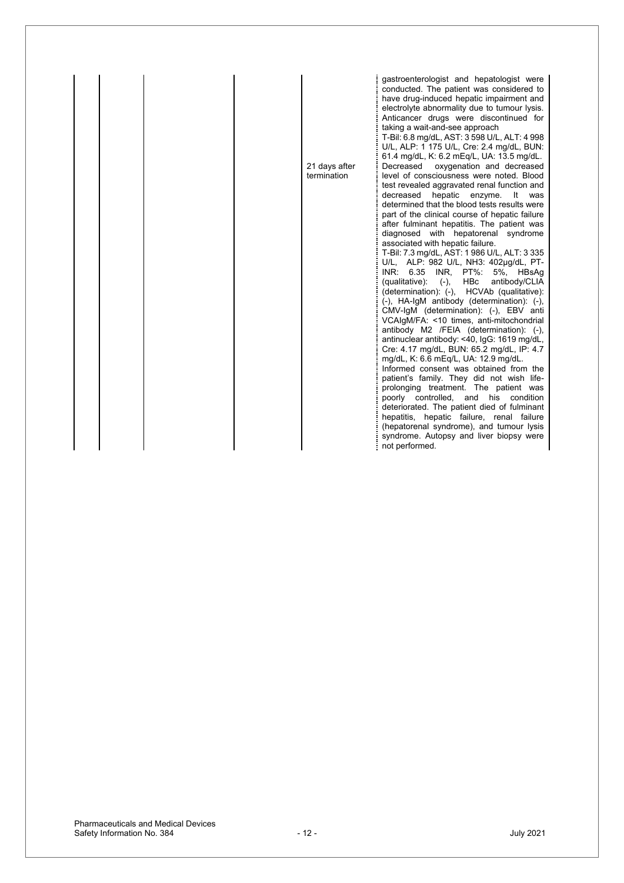|  | 21 days after<br>termination | gastroenterologist and hepatologist were<br>conducted. The patient was considered to<br>have drug-induced hepatic impairment and<br>electrolyte abnormality due to tumour lysis.<br>Anticancer drugs were discontinued for<br>taking a wait-and-see approach<br>T-Bil: 6.8 mg/dL, AST: 3 598 U/L, ALT: 4 998<br>U/L, ALP: 1 175 U/L, Cre: 2.4 mg/dL, BUN:<br>61.4 mg/dL, K: 6.2 mEq/L, UA: 13.5 mg/dL.<br>oxygenation and decreased<br>Decreased<br>level of consciousness were noted. Blood<br>test revealed aggravated renal function and<br>decreased<br>hepatic<br>enzyme.<br>It<br>was<br>determined that the blood tests results were<br>part of the clinical course of hepatic failure<br>after fulminant hepatitis. The patient was<br>diagnosed with hepatorenal syndrome<br>associated with hepatic failure.<br>T-Bil: 7.3 mg/dL, AST: 1986 U/L, ALT: 3335<br>ALP: 982 U/L, NH3: 402µg/dL, PT-<br>U/L,<br>$INR$ :<br>6.35<br>INR,<br>PT%:<br>5%.<br>HBsAq<br>(qualitative):<br>$(-),$<br>HBc<br>antibody/CLIA<br>(determination): (-), HCVAb (qualitative):<br>$(-)$ , HA-IgM antibody (determination): $(-)$ ,<br>CMV-IgM (determination): (-), EBV anti<br>VCAIgM/FA: <10 times, anti-mitochondrial<br>antibody M2 /FEIA (determination): (-),<br>antinuclear antibody: <40, IgG: 1619 mg/dL,<br>Cre: 4.17 mg/dL, BUN: 65.2 mg/dL, IP: 4.7<br>mg/dL, K: 6.6 mEq/L, UA: 12.9 mg/dL.<br>Informed consent was obtained from the<br>patient's family. They did not wish life-<br>prolonging treatment. The patient was<br>poorly<br>controlled,<br>and<br>his<br>condition<br>deteriorated. The patient died of fulminant<br>hepatitis, hepatic failure, renal failure<br>(hepatorenal syndrome), and tumour lysis<br>syndrome. Autopsy and liver biopsy were<br>not performed. |
|--|------------------------------|-----------------------------------------------------------------------------------------------------------------------------------------------------------------------------------------------------------------------------------------------------------------------------------------------------------------------------------------------------------------------------------------------------------------------------------------------------------------------------------------------------------------------------------------------------------------------------------------------------------------------------------------------------------------------------------------------------------------------------------------------------------------------------------------------------------------------------------------------------------------------------------------------------------------------------------------------------------------------------------------------------------------------------------------------------------------------------------------------------------------------------------------------------------------------------------------------------------------------------------------------------------------------------------------------------------------------------------------------------------------------------------------------------------------------------------------------------------------------------------------------------------------------------------------------------------------------------------------------------------------------------------------------------------------------------------------------------------------------------------------------------------------------------------------|
|--|------------------------------|-----------------------------------------------------------------------------------------------------------------------------------------------------------------------------------------------------------------------------------------------------------------------------------------------------------------------------------------------------------------------------------------------------------------------------------------------------------------------------------------------------------------------------------------------------------------------------------------------------------------------------------------------------------------------------------------------------------------------------------------------------------------------------------------------------------------------------------------------------------------------------------------------------------------------------------------------------------------------------------------------------------------------------------------------------------------------------------------------------------------------------------------------------------------------------------------------------------------------------------------------------------------------------------------------------------------------------------------------------------------------------------------------------------------------------------------------------------------------------------------------------------------------------------------------------------------------------------------------------------------------------------------------------------------------------------------------------------------------------------------------------------------------------------------|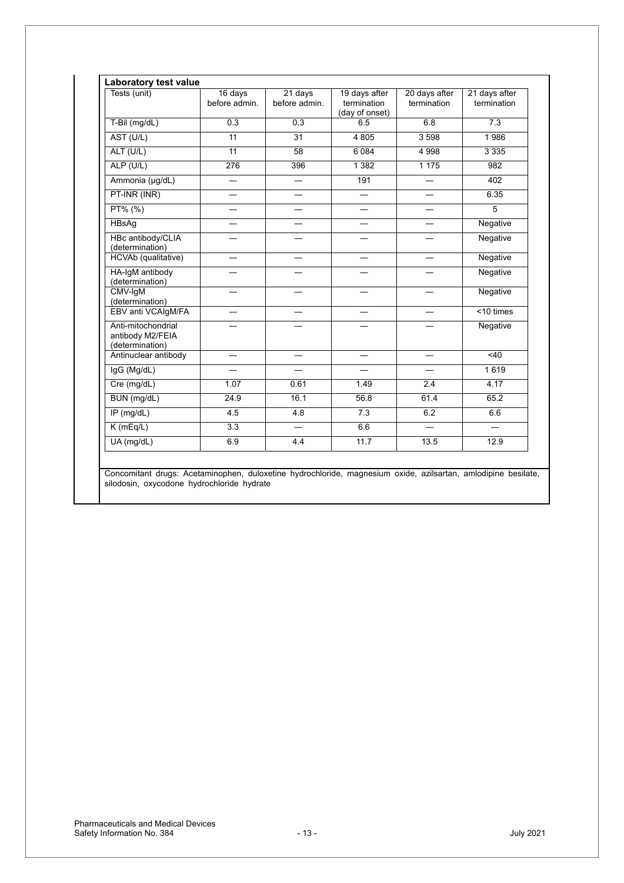| Tests (unit)                                              | 16 days<br>before admin. | 21 days<br>before admin. | 19 days after<br>termination<br>(day of onset) | 20 days after<br>termination | 21 days after<br>termination |
|-----------------------------------------------------------|--------------------------|--------------------------|------------------------------------------------|------------------------------|------------------------------|
| T-Bil (mg/dL)                                             | $\overline{0.3}$         | $\overline{0.3}$         | 6.5                                            | 6.8                          | $\overline{7.3}$             |
| AST (U/L)                                                 | 11                       | 31                       | 4805                                           | 3598                         | 1986                         |
| ALT (U/L)                                                 | 11                       | 58                       | 6 0 8 4                                        | 4 9 9 8                      | 3 3 3 5                      |
| ALP (U/L)                                                 | 276                      | 396                      | 1 3 8 2                                        | 1 1 7 5                      | 982                          |
| Ammonia (µg/dL)                                           | $\equiv$                 | $\overline{\phantom{0}}$ | 191                                            | $\equiv$                     | 402                          |
| PT-INR (INR)                                              |                          |                          |                                                |                              | 6.35                         |
| PT% (%)                                                   | $\overline{\phantom{0}}$ | $\overline{\phantom{0}}$ | $\overline{\phantom{0}}$                       | $\overline{\phantom{0}}$     | $\overline{5}$               |
| HBsAg                                                     | $\overline{\phantom{0}}$ | $\equiv$                 | $\equiv$                                       | $\overline{\phantom{0}}$     | Negative                     |
| HBc antibody/CLIA<br>(determination)                      |                          |                          |                                                |                              | Negative                     |
| HCVAb (qualitative)                                       |                          |                          |                                                |                              | Negative                     |
| HA-IgM antibody<br>(determination)                        |                          |                          |                                                |                              | Negative                     |
| CMV-IqM<br>(determination)                                |                          |                          |                                                |                              | Negative                     |
| EBV anti VCAIgM/FA                                        |                          |                          |                                                |                              | $<$ 10 times                 |
| Anti-mitochondrial<br>antibody M2/FEIA<br>(determination) |                          |                          |                                                |                              | Negative                     |
| Antinuclear antibody                                      | $\overline{\phantom{0}}$ |                          |                                                |                              | <40                          |
| IgG (Mg/dL)                                               |                          |                          |                                                |                              | 1619                         |
| Cre (mg/dL)                                               | 1.07                     | 0.61                     | 1.49                                           | 2.4                          | 4.17                         |
| BUN (mg/dL)                                               | 24.9                     | 16.1                     | 56.8                                           | 61.4                         | 65.2                         |
| $IP$ (mg/dL)                                              | 4.5                      | 4.8                      | 7.3                                            | 6.2                          | 6.6                          |
| K(mEq/L)                                                  | $\overline{3.3}$         |                          | 6.6                                            |                              |                              |
| $UA$ (mg/dL)                                              | 6.9                      | 4.4                      | 11.7                                           | 13.5                         | 12.9                         |

Concomitant drugs: Acetaminophen, duloxetine hydrochloride, magnesium oxide, azilsartan, amlodipine besilate, silodosin, oxycodone hydrochloride hydrate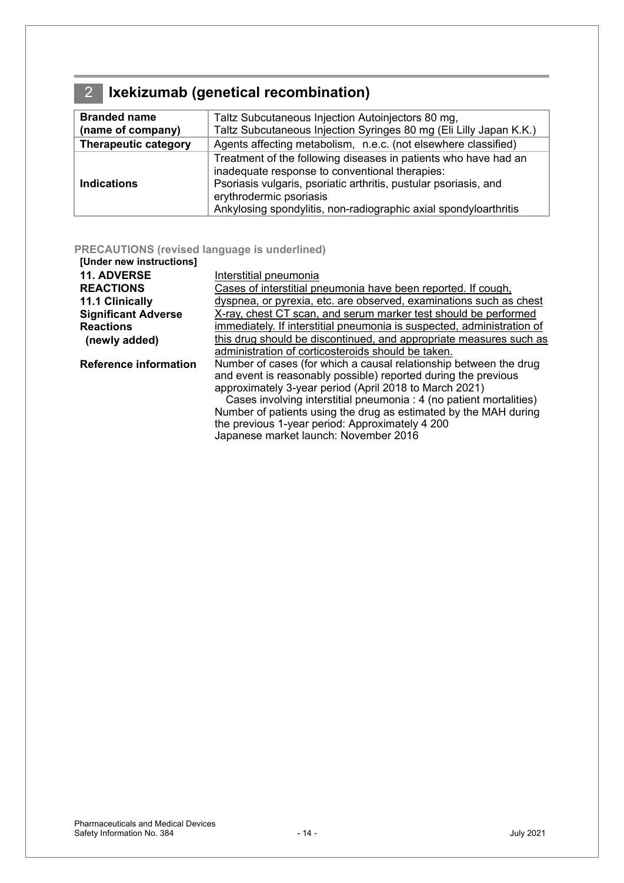### <span id="page-13-0"></span>2 **Ixekizumab (genetical recombination)**

| <b>Branded name</b>         | Taltz Subcutaneous Injection Autoinjectors 80 mg,                                                                                                                                                                                                                                    |
|-----------------------------|--------------------------------------------------------------------------------------------------------------------------------------------------------------------------------------------------------------------------------------------------------------------------------------|
| (name of company)           | Taltz Subcutaneous Injection Syringes 80 mg (Eli Lilly Japan K.K.)                                                                                                                                                                                                                   |
| <b>Therapeutic category</b> | Agents affecting metabolism, n.e.c. (not elsewhere classified)                                                                                                                                                                                                                       |
| <b>Indications</b>          | Treatment of the following diseases in patients who have had an<br>inadequate response to conventional therapies:<br>Psoriasis vulgaris, psoriatic arthritis, pustular psoriasis, and<br>erythrodermic psoriasis<br>Ankylosing spondylitis, non-radiographic axial spondyloarthritis |

### **PRECAUTIONS (revised language is underlined)**

| [Under new instructions]     |                                                                        |
|------------------------------|------------------------------------------------------------------------|
| <b>11. ADVERSE</b>           | Interstitial pneumonia                                                 |
| <b>REACTIONS</b>             | Cases of interstitial pneumonia have been reported. If cough,          |
| 11.1 Clinically              | dyspnea, or pyrexia, etc. are observed, examinations such as chest     |
| <b>Significant Adverse</b>   | X-ray, chest CT scan, and serum marker test should be performed        |
| <b>Reactions</b>             | immediately. If interstitial pneumonia is suspected, administration of |
| (newly added)                | this drug should be discontinued, and appropriate measures such as     |
|                              | administration of corticosteroids should be taken.                     |
| <b>Reference information</b> | Number of cases (for which a causal relationship between the drug      |
|                              | and event is reasonably possible) reported during the previous         |
|                              | approximately 3-year period (April 2018 to March 2021)                 |
|                              | Cases involving interstitial pneumonia : 4 (no patient mortalities)    |
|                              | Number of patients using the drug as estimated by the MAH during       |
|                              | the previous 1-year period: Approximately 4 200                        |

Japanese market launch: November 2016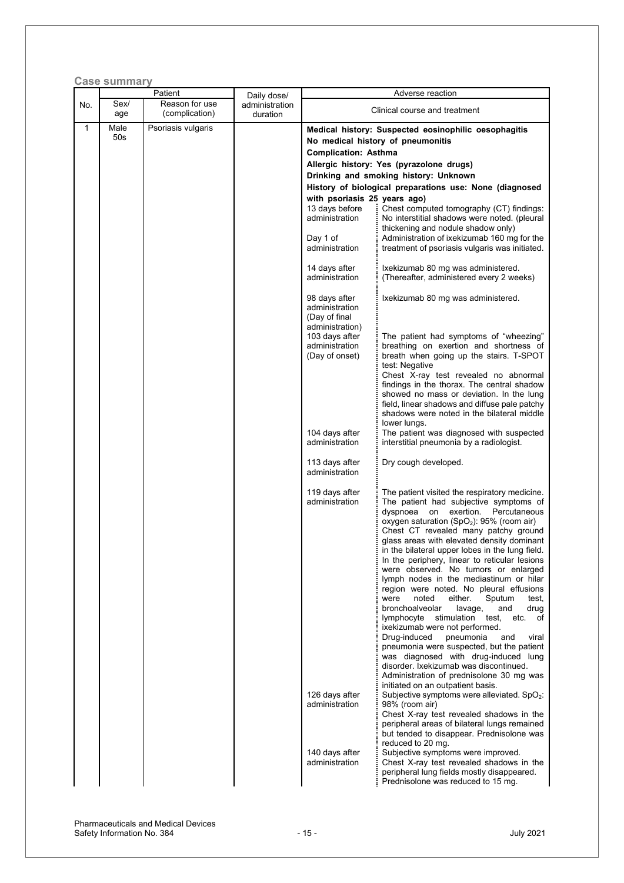|              | <b>Case summary</b><br>Patient |                    |                               | Adverse reaction                                                                                                                                                                                              |                                                                                                                                                                                                                                                                                                                                                                                                                                                                                                                                                                                                                                                                                                                                                                                                                                                                                                                                                                                                                                                                                                                                                                                 |  |
|--------------|--------------------------------|--------------------|-------------------------------|---------------------------------------------------------------------------------------------------------------------------------------------------------------------------------------------------------------|---------------------------------------------------------------------------------------------------------------------------------------------------------------------------------------------------------------------------------------------------------------------------------------------------------------------------------------------------------------------------------------------------------------------------------------------------------------------------------------------------------------------------------------------------------------------------------------------------------------------------------------------------------------------------------------------------------------------------------------------------------------------------------------------------------------------------------------------------------------------------------------------------------------------------------------------------------------------------------------------------------------------------------------------------------------------------------------------------------------------------------------------------------------------------------|--|
| No.          | Sex/                           | Reason for use     | Daily dose/<br>administration |                                                                                                                                                                                                               |                                                                                                                                                                                                                                                                                                                                                                                                                                                                                                                                                                                                                                                                                                                                                                                                                                                                                                                                                                                                                                                                                                                                                                                 |  |
|              | age                            | (complication)     | duration                      | Clinical course and treatment                                                                                                                                                                                 |                                                                                                                                                                                                                                                                                                                                                                                                                                                                                                                                                                                                                                                                                                                                                                                                                                                                                                                                                                                                                                                                                                                                                                                 |  |
| $\mathbf{1}$ | Male<br>50 <sub>s</sub>        | Psoriasis vulgaris |                               | Medical history: Suspected eosinophilic oesophagitis<br>No medical history of pneumonitis<br><b>Complication: Asthma</b><br>Allergic history: Yes (pyrazolone drugs)<br>Drinking and smoking history: Unknown |                                                                                                                                                                                                                                                                                                                                                                                                                                                                                                                                                                                                                                                                                                                                                                                                                                                                                                                                                                                                                                                                                                                                                                                 |  |
|              |                                |                    |                               | with psoriasis 25 years ago)<br>13 days before<br>administration<br>Day 1 of<br>administration                                                                                                                | History of biological preparations use: None (diagnosed<br>Chest computed tomography (CT) findings:<br>No interstitial shadows were noted. (pleural<br>thickening and nodule shadow only)<br>Administration of ixekizumab 160 mg for the<br>treatment of psoriasis vulgaris was initiated.                                                                                                                                                                                                                                                                                                                                                                                                                                                                                                                                                                                                                                                                                                                                                                                                                                                                                      |  |
|              |                                |                    |                               | 14 days after<br>administration                                                                                                                                                                               | Ixekizumab 80 mg was administered.<br>(Thereafter, administered every 2 weeks)                                                                                                                                                                                                                                                                                                                                                                                                                                                                                                                                                                                                                                                                                                                                                                                                                                                                                                                                                                                                                                                                                                  |  |
|              |                                |                    |                               | 98 days after<br>administration<br>(Day of final                                                                                                                                                              | Ixekizumab 80 mg was administered.                                                                                                                                                                                                                                                                                                                                                                                                                                                                                                                                                                                                                                                                                                                                                                                                                                                                                                                                                                                                                                                                                                                                              |  |
|              |                                |                    |                               | administration)<br>103 days after<br>administration<br>(Day of onset)                                                                                                                                         | The patient had symptoms of "wheezing"<br>breathing on exertion and shortness of<br>breath when going up the stairs. T-SPOT<br>test: Negative<br>Chest X-ray test revealed no abnormal<br>findings in the thorax. The central shadow<br>showed no mass or deviation. In the lung<br>field, linear shadows and diffuse pale patchy<br>shadows were noted in the bilateral middle                                                                                                                                                                                                                                                                                                                                                                                                                                                                                                                                                                                                                                                                                                                                                                                                 |  |
|              |                                |                    |                               | 104 days after<br>administration                                                                                                                                                                              | lower lungs.<br>The patient was diagnosed with suspected<br>interstitial pneumonia by a radiologist.                                                                                                                                                                                                                                                                                                                                                                                                                                                                                                                                                                                                                                                                                                                                                                                                                                                                                                                                                                                                                                                                            |  |
|              |                                |                    |                               | 113 days after<br>administration                                                                                                                                                                              | Dry cough developed.                                                                                                                                                                                                                                                                                                                                                                                                                                                                                                                                                                                                                                                                                                                                                                                                                                                                                                                                                                                                                                                                                                                                                            |  |
|              |                                |                    |                               | 119 days after<br>administration<br>126 days after<br>administration                                                                                                                                          | The patient visited the respiratory medicine.<br>The patient had subjective symptoms of<br>exertion. Percutaneous<br>dyspnoea<br>on<br>oxygen saturation (SpO <sub>2</sub> ): 95% (room air)<br>Chest CT revealed many patchy ground<br>glass areas with elevated density dominant<br>in the bilateral upper lobes in the lung field.<br>In the periphery, linear to reticular lesions<br>were observed. No tumors or enlarged<br>lymph nodes in the mediastinum or hilar<br>region were noted. No pleural effusions<br>noted<br>either.<br>Sputum<br>were<br>test,<br>bronchoalveolar<br>lavage,<br>and<br>drug<br>lymphocyte<br>stimulation<br>test,<br>etc.<br>of<br>ixekizumab were not performed.<br>Drug-induced<br>pneumonia<br>viral<br>and<br>pneumonia were suspected, but the patient<br>was diagnosed with drug-induced lung<br>disorder. Ixekizumab was discontinued.<br>Administration of prednisolone 30 mg was<br>initiated on an outpatient basis.<br>Subjective symptoms were alleviated. $SpO2$ :<br>98% (room air)<br>Chest X-ray test revealed shadows in the<br>peripheral areas of bilateral lungs remained<br>but tended to disappear. Prednisolone was |  |
|              |                                |                    |                               | 140 days after<br>administration                                                                                                                                                                              | reduced to 20 mg.<br>Subjective symptoms were improved.<br>Chest X-ray test revealed shadows in the<br>peripheral lung fields mostly disappeared.<br>Prednisolone was reduced to 15 mg.                                                                                                                                                                                                                                                                                                                                                                                                                                                                                                                                                                                                                                                                                                                                                                                                                                                                                                                                                                                         |  |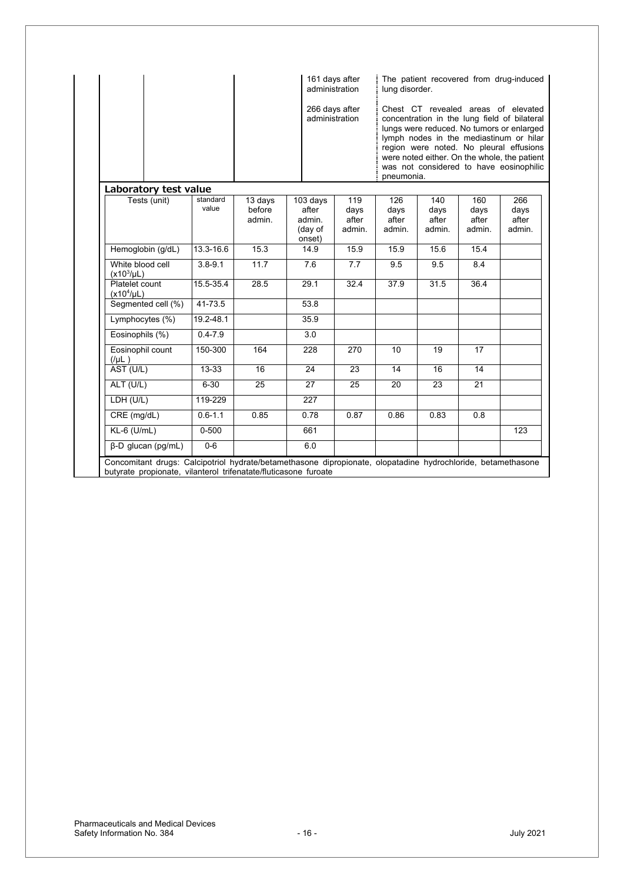| Laboratory test value               |                   |                             | administration<br>266 days after<br>administration | 161 days after                 | lung disorder.<br>pneumonia.   | The patient recovered from drug-induced<br>Chest CT revealed areas of elevated<br>concentration in the lung field of bilateral<br>lungs were reduced. No tumors or enlarged<br>lymph nodes in the mediastinum or hilar<br>region were noted. No pleural effusions<br>were noted either. On the whole, the patient<br>was not considered to have eosinophilic |                                |                                |
|-------------------------------------|-------------------|-----------------------------|----------------------------------------------------|--------------------------------|--------------------------------|--------------------------------------------------------------------------------------------------------------------------------------------------------------------------------------------------------------------------------------------------------------------------------------------------------------------------------------------------------------|--------------------------------|--------------------------------|
| Tests (unit)                        | standard<br>value | 13 days<br>before<br>admin. | 103 days<br>after<br>admin.<br>(day of<br>onset)   | 119<br>days<br>after<br>admin. | 126<br>days<br>after<br>admin. | 140<br>days<br>after<br>admin.                                                                                                                                                                                                                                                                                                                               | 160<br>days<br>after<br>admin. | 266<br>days<br>after<br>admin. |
| Hemoglobin (g/dL)                   | 13.3-16.6         | 15.3                        | 14.9                                               | 15.9                           | 15.9                           | 15.6                                                                                                                                                                                                                                                                                                                                                         | 15.4                           |                                |
| White blood cell<br>$(x10^3/\mu L)$ | $3.8 - 9.1$       | 11.7                        | 7.6                                                | $\overline{7.7}$               | 9.5                            | 9.5                                                                                                                                                                                                                                                                                                                                                          | 8.4                            |                                |
| Platelet count<br>$(x10^4/\mu L)$   | 15.5-35.4         | 28.5                        | 29.1                                               | 32.4                           | 37.9                           | 31.5                                                                                                                                                                                                                                                                                                                                                         | 36.4                           |                                |
| Segmented cell (%)                  | 41-73.5           |                             | 53.8                                               |                                |                                |                                                                                                                                                                                                                                                                                                                                                              |                                |                                |
| Lymphocytes (%)                     | 19.2-48.1         |                             | 35.9                                               |                                |                                |                                                                                                                                                                                                                                                                                                                                                              |                                |                                |
| Eosinophils (%)                     | $0.4 - 7.9$       |                             | 3.0                                                |                                |                                |                                                                                                                                                                                                                                                                                                                                                              |                                |                                |
| Eosinophil count<br>$( \mu )$       | 150-300           | 164                         | 228                                                | 270                            | 10                             | 19                                                                                                                                                                                                                                                                                                                                                           | 17                             |                                |
| AST (U/L)                           | 13-33             | 16                          | 24                                                 | 23                             | 14                             | 16                                                                                                                                                                                                                                                                                                                                                           | 14                             |                                |
| $ALT$ (U/L)                         | $6 - 30$          | $\overline{25}$             | $\overline{27}$                                    | $\overline{25}$                | 20                             | 23                                                                                                                                                                                                                                                                                                                                                           | $\overline{21}$                |                                |
| LDH (U/L)                           | 119-229           |                             | 227                                                |                                |                                |                                                                                                                                                                                                                                                                                                                                                              |                                |                                |
| CRE (mg/dL)                         | $0.6 - 1.1$       | 0.85                        | 0.78                                               | 0.87                           | 0.86                           | 0.83                                                                                                                                                                                                                                                                                                                                                         | 0.8                            |                                |
| $KL-6$ (U/mL)                       | $0 - 500$         |                             | 661                                                |                                |                                |                                                                                                                                                                                                                                                                                                                                                              |                                | 123                            |
| $\beta$ -D glucan (pg/mL)           | $0 - 6$           |                             | 6.0                                                |                                |                                |                                                                                                                                                                                                                                                                                                                                                              |                                |                                |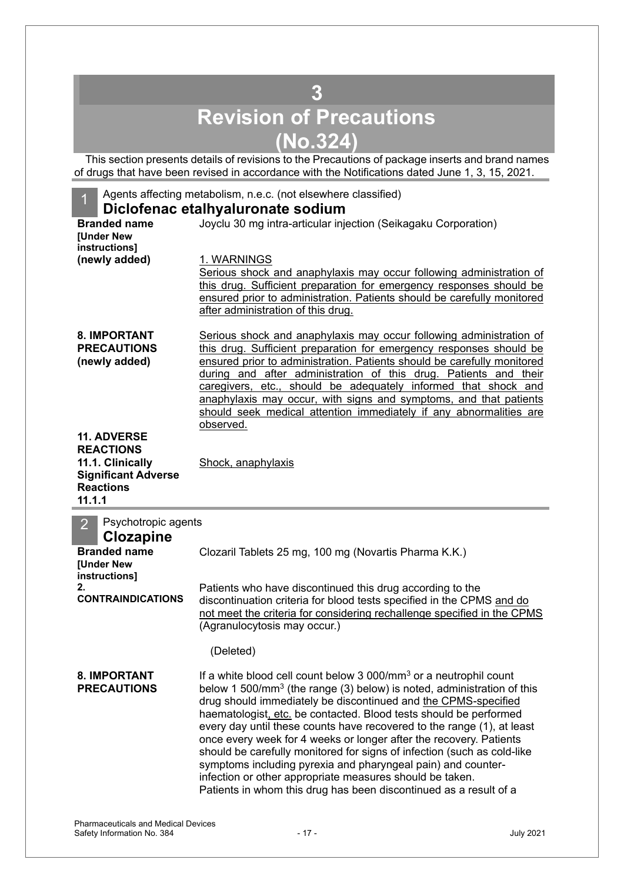## **3 Revision of Precautions (No.324)**

<span id="page-16-0"></span>This section presents details of revisions to the Precautions of package inserts and brand names of drugs that have been revised in accordance with the Notifications dated June 1, 3, 15, 2021.

| Agents affecting metabolism, n.e.c. (not elsewhere classified)<br>1 |                                                                                                                                             |  |  |  |  |  |
|---------------------------------------------------------------------|---------------------------------------------------------------------------------------------------------------------------------------------|--|--|--|--|--|
|                                                                     | Diclofenac etalhyaluronate sodium                                                                                                           |  |  |  |  |  |
| <b>Branded name</b><br><b>[Under New</b>                            | Joyclu 30 mg intra-articular injection (Seikagaku Corporation)                                                                              |  |  |  |  |  |
| instructions]                                                       |                                                                                                                                             |  |  |  |  |  |
| (newly added)                                                       | 1. WARNINGS                                                                                                                                 |  |  |  |  |  |
|                                                                     | Serious shock and anaphylaxis may occur following administration of<br>this drug. Sufficient preparation for emergency responses should be  |  |  |  |  |  |
|                                                                     | ensured prior to administration. Patients should be carefully monitored                                                                     |  |  |  |  |  |
|                                                                     | after administration of this drug.                                                                                                          |  |  |  |  |  |
| 8. IMPORTANT                                                        | Serious shock and anaphylaxis may occur following administration of                                                                         |  |  |  |  |  |
| <b>PRECAUTIONS</b>                                                  | this drug. Sufficient preparation for emergency responses should be                                                                         |  |  |  |  |  |
| (newly added)                                                       | ensured prior to administration. Patients should be carefully monitored                                                                     |  |  |  |  |  |
|                                                                     | during and after administration of this drug. Patients and their<br>caregivers, etc., should be adequately informed that shock and          |  |  |  |  |  |
|                                                                     | anaphylaxis may occur, with signs and symptoms, and that patients                                                                           |  |  |  |  |  |
|                                                                     | should seek medical attention immediately if any abnormalities are                                                                          |  |  |  |  |  |
| <b>11. ADVERSE</b>                                                  | observed.                                                                                                                                   |  |  |  |  |  |
| <b>REACTIONS</b>                                                    |                                                                                                                                             |  |  |  |  |  |
| 11.1. Clinically                                                    | Shock, anaphylaxis                                                                                                                          |  |  |  |  |  |
| <b>Significant Adverse</b>                                          |                                                                                                                                             |  |  |  |  |  |
| <b>Reactions</b><br>11.1.1                                          |                                                                                                                                             |  |  |  |  |  |
|                                                                     |                                                                                                                                             |  |  |  |  |  |
|                                                                     |                                                                                                                                             |  |  |  |  |  |
| Psychotropic agents<br>$\overline{2}$                               |                                                                                                                                             |  |  |  |  |  |
| <b>Clozapine</b><br><b>Branded name</b>                             | Clozaril Tablets 25 mg, 100 mg (Novartis Pharma K.K.)                                                                                       |  |  |  |  |  |
| <b>[Under New</b>                                                   |                                                                                                                                             |  |  |  |  |  |
| instructions]<br>2.                                                 |                                                                                                                                             |  |  |  |  |  |
| <b>CONTRAINDICATIONS</b>                                            | Patients who have discontinued this drug according to the<br>discontinuation criteria for blood tests specified in the CPMS and do          |  |  |  |  |  |
|                                                                     | not meet the criteria for considering rechallenge specified in the CPMS                                                                     |  |  |  |  |  |
|                                                                     | (Agranulocytosis may occur.)                                                                                                                |  |  |  |  |  |
|                                                                     | (Deleted)                                                                                                                                   |  |  |  |  |  |
| 8. IMPORTANT                                                        | If a white blood cell count below 3 000/mm <sup>3</sup> or a neutrophil count                                                               |  |  |  |  |  |
| <b>PRECAUTIONS</b>                                                  | below 1 500/mm <sup>3</sup> (the range (3) below) is noted, administration of this                                                          |  |  |  |  |  |
|                                                                     | drug should immediately be discontinued and the CPMS-specified                                                                              |  |  |  |  |  |
|                                                                     | haematologist, etc. be contacted. Blood tests should be performed<br>every day until these counts have recovered to the range (1), at least |  |  |  |  |  |
|                                                                     | once every week for 4 weeks or longer after the recovery. Patients                                                                          |  |  |  |  |  |
|                                                                     | should be carefully monitored for signs of infection (such as cold-like                                                                     |  |  |  |  |  |
|                                                                     | symptoms including pyrexia and pharyngeal pain) and counter-                                                                                |  |  |  |  |  |
|                                                                     | infection or other appropriate measures should be taken.<br>Patients in whom this drug has been discontinued as a result of a               |  |  |  |  |  |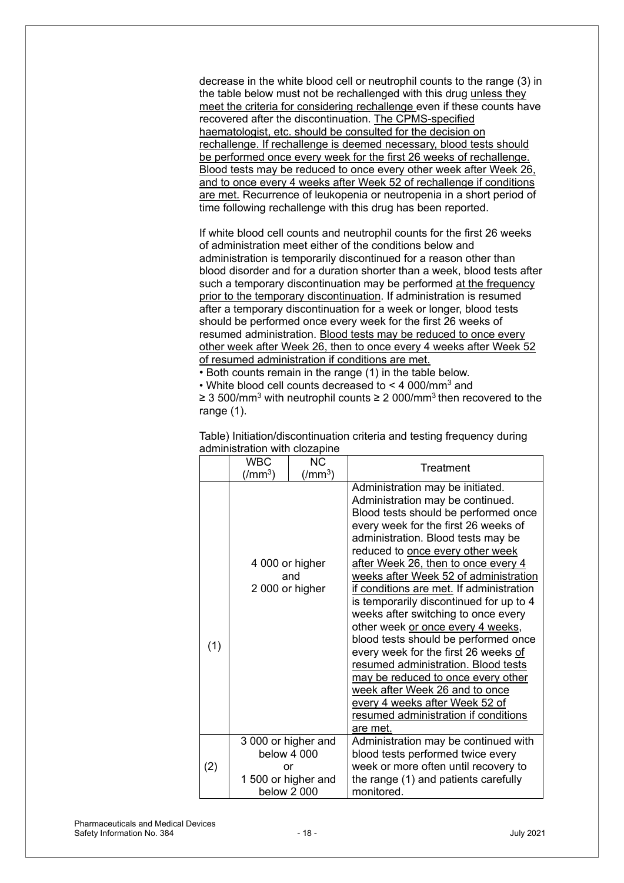decrease in the white blood cell or neutrophil counts to the range (3) in the table below must not be rechallenged with this drug unless they meet the criteria for considering rechallenge even if these counts have recovered after the discontinuation. The CPMS-specified haematologist, etc. should be consulted for the decision on rechallenge. If rechallenge is deemed necessary, blood tests should be performed once every week for the first 26 weeks of rechallenge. Blood tests may be reduced to once every other week after Week 26, and to once every 4 weeks after Week 52 of rechallenge if conditions are met. Recurrence of leukopenia or neutropenia in a short period of time following rechallenge with this drug has been reported.

If white blood cell counts and neutrophil counts for the first 26 weeks of administration meet either of the conditions below and administration is temporarily discontinued for a reason other than blood disorder and for a duration shorter than a week, blood tests after such a temporary discontinuation may be performed at the frequency prior to the temporary discontinuation. If administration is resumed after a temporary discontinuation for a week or longer, blood tests should be performed once every week for the first 26 weeks of resumed administration. Blood tests may be reduced to once every other week after Week 26, then to once every 4 weeks after Week 52 of resumed administration if conditions are met.

• Both counts remain in the range (1) in the table below.

• White blood cell counts decreased to < 4 000/mm3 and

≥ 3 500/mm<sup>3</sup> with neutrophil counts ≥ 2 000/mm<sup>3</sup> then recovered to the range (1).

|     | <b>WBC</b><br>(/mm $^3)$ | <b>NC</b><br>$\left(\text{/mm}^3\right)$                                      | Treatment                                                                                                                                                                                                                                                                                                                                                                                                                                                                                                                                                                                                                                                                                                                                                              |
|-----|--------------------------|-------------------------------------------------------------------------------|------------------------------------------------------------------------------------------------------------------------------------------------------------------------------------------------------------------------------------------------------------------------------------------------------------------------------------------------------------------------------------------------------------------------------------------------------------------------------------------------------------------------------------------------------------------------------------------------------------------------------------------------------------------------------------------------------------------------------------------------------------------------|
| (1) |                          | 4 000 or higher<br>and<br>2 000 or higher                                     | Administration may be initiated.<br>Administration may be continued.<br>Blood tests should be performed once<br>every week for the first 26 weeks of<br>administration. Blood tests may be<br>reduced to once every other week<br>after Week 26, then to once every 4<br>weeks after Week 52 of administration<br>if conditions are met. If administration<br>is temporarily discontinued for up to 4<br>weeks after switching to once every<br>other week or once every 4 weeks,<br>blood tests should be performed once<br>every week for the first 26 weeks of<br>resumed administration. Blood tests<br>may be reduced to once every other<br>week after Week 26 and to once<br>every 4 weeks after Week 52 of<br>resumed administration if conditions<br>are met. |
| (2) |                          | 3 000 or higher and<br>below 4 000<br>or<br>1500 or higher and<br>below 2 000 | Administration may be continued with<br>blood tests performed twice every<br>week or more often until recovery to<br>the range (1) and patients carefully<br>monitored.                                                                                                                                                                                                                                                                                                                                                                                                                                                                                                                                                                                                |

Table) Initiation/discontinuation criteria and testing frequency during administration with clozapine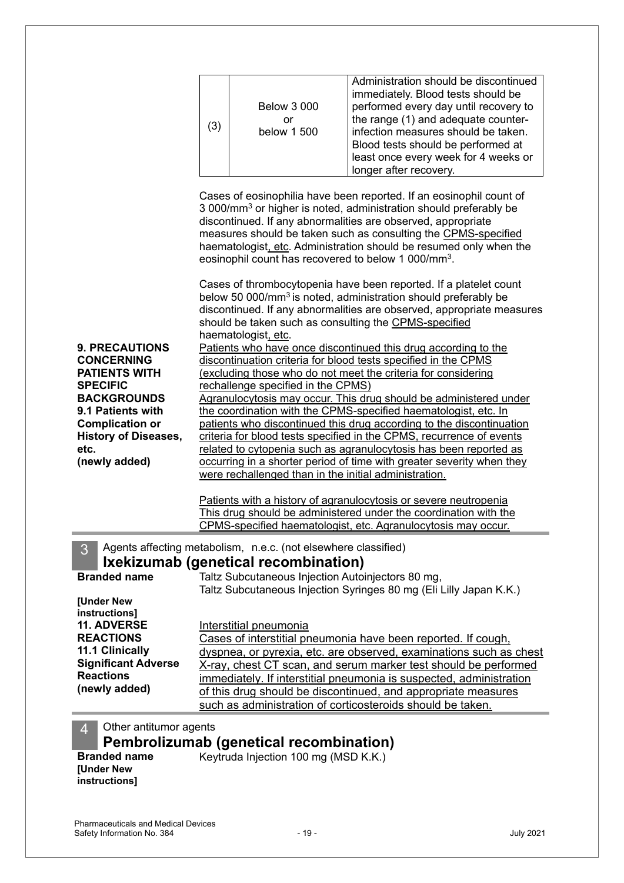|                                                                                                                                                                                                                                                                                                                                                                                                                                                                                                                                                                                                                                                                                                                                                                                                                                                                                                                                                                                                                                                                                                                                                                                                                                                                         | (3) | <b>Below 3 000</b><br>or<br>below 1 500                                                                                                                     | Administration should be discontinued<br>immediately. Blood tests should be<br>performed every day until recovery to<br>the range (1) and adequate counter-<br>infection measures should be taken.<br>Blood tests should be performed at<br>least once every week for 4 weeks or<br>longer after recovery.                                                                                                                                                                                           |
|-------------------------------------------------------------------------------------------------------------------------------------------------------------------------------------------------------------------------------------------------------------------------------------------------------------------------------------------------------------------------------------------------------------------------------------------------------------------------------------------------------------------------------------------------------------------------------------------------------------------------------------------------------------------------------------------------------------------------------------------------------------------------------------------------------------------------------------------------------------------------------------------------------------------------------------------------------------------------------------------------------------------------------------------------------------------------------------------------------------------------------------------------------------------------------------------------------------------------------------------------------------------------|-----|-------------------------------------------------------------------------------------------------------------------------------------------------------------|------------------------------------------------------------------------------------------------------------------------------------------------------------------------------------------------------------------------------------------------------------------------------------------------------------------------------------------------------------------------------------------------------------------------------------------------------------------------------------------------------|
|                                                                                                                                                                                                                                                                                                                                                                                                                                                                                                                                                                                                                                                                                                                                                                                                                                                                                                                                                                                                                                                                                                                                                                                                                                                                         |     |                                                                                                                                                             | Cases of eosinophilia have been reported. If an eosinophil count of<br>3 000/mm <sup>3</sup> or higher is noted, administration should preferably be<br>discontinued. If any abnormalities are observed, appropriate<br>measures should be taken such as consulting the CPMS-specified<br>haematologist, etc. Administration should be resumed only when the<br>eosinophil count has recovered to below 1 000/mm <sup>3</sup> .<br>Cases of thrombocytopenia have been reported. If a platelet count |
| below 50 000/mm <sup>3</sup> is noted, administration should preferably be<br>discontinued. If any abnormalities are observed, appropriate measures<br>should be taken such as consulting the CPMS-specified<br>haematologist, etc.<br><b>9. PRECAUTIONS</b><br>Patients who have once discontinued this drug according to the<br>discontinuation criteria for blood tests specified in the CPMS<br><b>CONCERNING</b><br><b>PATIENTS WITH</b><br>(excluding those who do not meet the criteria for considering<br><b>SPECIFIC</b><br>rechallenge specified in the CPMS)<br><b>BACKGROUNDS</b><br>Agranulocytosis may occur. This drug should be administered under<br>9.1 Patients with<br>the coordination with the CPMS-specified haematologist, etc. In<br><b>Complication or</b><br>patients who discontinued this drug according to the discontinuation<br><b>History of Diseases,</b><br>criteria for blood tests specified in the CPMS, recurrence of events<br>related to cytopenia such as agranulocytosis has been reported as<br>etc.<br>(newly added)<br>occurring in a shorter period of time with greater severity when they<br>were rechallenged than in the initial administration.<br>Patients with a history of agranulocytosis or severe neutropenia |     |                                                                                                                                                             |                                                                                                                                                                                                                                                                                                                                                                                                                                                                                                      |
|                                                                                                                                                                                                                                                                                                                                                                                                                                                                                                                                                                                                                                                                                                                                                                                                                                                                                                                                                                                                                                                                                                                                                                                                                                                                         |     |                                                                                                                                                             | This drug should be administered under the coordination with the<br><b>CPMS-specified haematologist, etc. Agranulocytosis may occur.</b>                                                                                                                                                                                                                                                                                                                                                             |
| 3<br><b>Branded name</b><br>[Under New                                                                                                                                                                                                                                                                                                                                                                                                                                                                                                                                                                                                                                                                                                                                                                                                                                                                                                                                                                                                                                                                                                                                                                                                                                  |     | Agents affecting metabolism, n.e.c. (not elsewhere classified)<br>Ixekizumab (genetical recombination)<br>Taltz Subcutaneous Injection Autoinjectors 80 mg, | Taltz Subcutaneous Injection Syringes 80 mg (Eli Lilly Japan K.K.)                                                                                                                                                                                                                                                                                                                                                                                                                                   |
| instructions]<br><b>11. ADVERSE</b><br><b>REACTIONS</b><br>11.1 Clinically<br><b>Significant Adverse</b><br><b>Reactions</b><br>(newly added)                                                                                                                                                                                                                                                                                                                                                                                                                                                                                                                                                                                                                                                                                                                                                                                                                                                                                                                                                                                                                                                                                                                           |     | Interstitial pneumonia                                                                                                                                      | Cases of interstitial pneumonia have been reported. If cough,<br>dyspnea, or pyrexia, etc. are observed, examinations such as chest<br>X-ray, chest CT scan, and serum marker test should be performed<br><u>immediately. If interstitial pneumonia is suspected, administration</u><br>of this drug should be discontinued, and appropriate measures<br>such as administration of corticosteroids should be taken.                                                                                  |
| Other antitumor agents<br>$\overline{4}$                                                                                                                                                                                                                                                                                                                                                                                                                                                                                                                                                                                                                                                                                                                                                                                                                                                                                                                                                                                                                                                                                                                                                                                                                                |     | Pembrolizumab (genetical recombination)                                                                                                                     |                                                                                                                                                                                                                                                                                                                                                                                                                                                                                                      |

**[Under New instructions]**

**Branded name** Keytruda Injection 100 mg (MSD K.K.)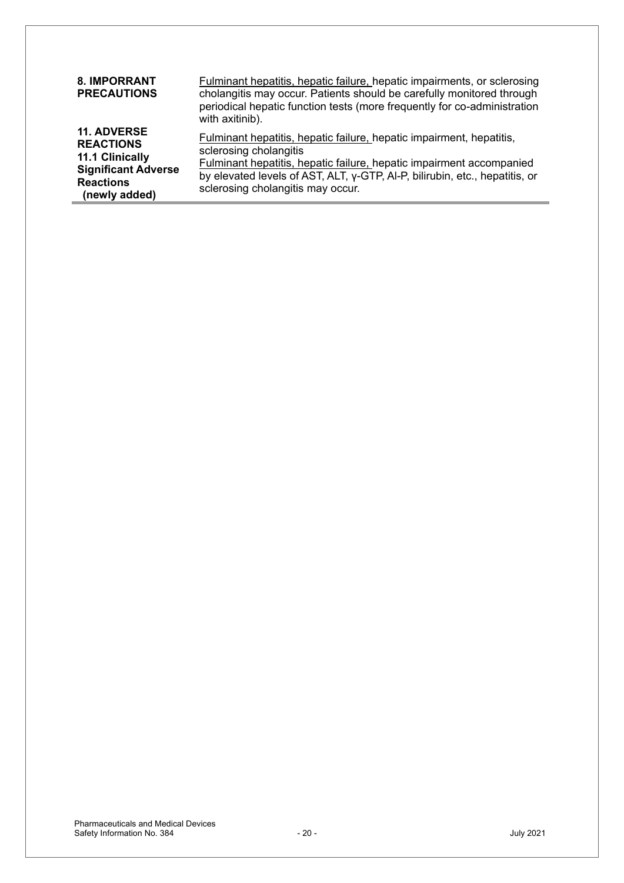| <b>8. IMPORRANT</b><br><b>PRECAUTIONS</b>                                                                                    | <b>Fulminant hepatitis, hepatic failure, hepatic impairments, or sclerosing</b><br>cholangitis may occur. Patients should be carefully monitored through<br>periodical hepatic function tests (more frequently for co-administration<br>with axitinib).                                           |
|------------------------------------------------------------------------------------------------------------------------------|---------------------------------------------------------------------------------------------------------------------------------------------------------------------------------------------------------------------------------------------------------------------------------------------------|
| <b>11. ADVERSE</b><br><b>REACTIONS</b><br>11.1 Clinically<br><b>Significant Adverse</b><br><b>Reactions</b><br>(newly added) | <b>Fulminant hepatitis, hepatic failure, hepatic impairment, hepatitis,</b><br>sclerosing cholangitis<br>Fulminant hepatitis, hepatic failure, hepatic impairment accompanied<br>by elevated levels of AST, ALT, y-GTP, Al-P, bilirubin, etc., hepatitis, or<br>sclerosing cholangitis may occur. |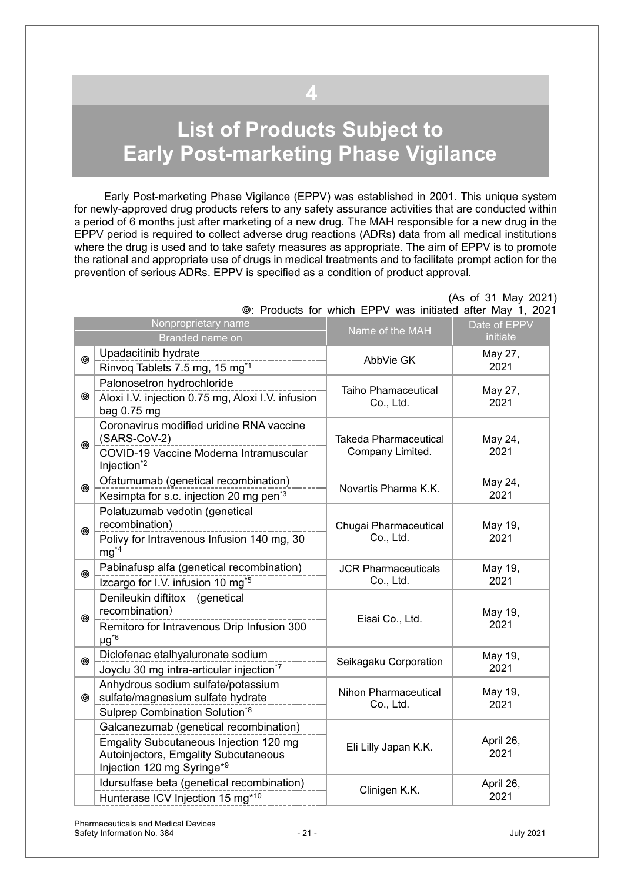# <span id="page-20-0"></span>**List of Products Subject to Early Post-marketing Phase Vigilance**

**4**

Early Post-marketing Phase Vigilance (EPPV) was established in 2001. This unique system for newly-approved drug products refers to any safety assurance activities that are conducted within a period of 6 months just after marketing of a new drug. The MAH responsible for a new drug in the EPPV period is required to collect adverse drug reactions (ADRs) data from all medical institutions where the drug is used and to take safety measures as appropriate. The aim of EPPV is to promote the rational and appropriate use of drugs in medical treatments and to facilitate prompt action for the prevention of serious ADRs. EPPV is specified as a condition of product approval.

|                | Nonproprietary name<br>Branded name on                                                                                                                                    | Name of the MAH                                  | Date of EPPV<br>initiate |
|----------------|---------------------------------------------------------------------------------------------------------------------------------------------------------------------------|--------------------------------------------------|--------------------------|
| ◉              | Upadacitinib hydrate<br>Rinvoq Tablets 7.5 mg, 15 mg <sup>*1</sup>                                                                                                        | AbbVie GK                                        | May 27,<br>2021          |
| ◉              | Palonosetron hydrochloride<br>Aloxi I.V. injection 0.75 mg, Aloxi I.V. infusion<br>bag 0.75 mg                                                                            | <b>Taiho Phamaceutical</b><br>Co., Ltd.          | May 27,<br>2021          |
| ◉              | Coronavirus modified uridine RNA vaccine<br>(SARS-CoV-2)<br>________________________<br>COVID-19 Vaccine Moderna Intramuscular<br>Injection <sup>*2</sup>                 | <b>Takeda Pharmaceutical</b><br>Company Limited. | May 24,<br>2021          |
| ◉              | Ofatumumab (genetical recombination)<br>Kesimpta for s.c. injection 20 mg pen <sup>*3</sup>                                                                               | Novartis Pharma K.K.                             | May 24,<br>2021          |
| $\circledcirc$ | Polatuzumab vedotin (genetical<br>recombination)<br>Polivy for Intravenous Infusion 140 mg, 30<br>$mg^{4}$                                                                | Chugai Pharmaceutical<br>Co., Ltd.               | May 19,<br>2021          |
| ◉              | Pabinafusp alfa (genetical recombination)<br>Izcargo for I.V. infusion 10 mg <sup>*5</sup>                                                                                | <b>JCR Pharmaceuticals</b><br>Co., Ltd.          | May 19,<br>2021          |
| ⊚              | Denileukin diftitox (genetical<br>recombination)<br>Remitoro for Intravenous Drip Infusion 300<br>$\mu$ g <sup>*6</sup>                                                   | Eisai Co., Ltd.                                  | May 19,<br>2021          |
| ◎              | Diclofenac etalhyaluronate sodium<br>Joyclu 30 mg intra-articular injection*7                                                                                             | Seikagaku Corporation                            | May 19,<br>2021          |
| $\circledcirc$ | Anhydrous sodium sulfate/potassium<br>sulfate/magnesium sulfate hydrate<br>Sulprep Combination Solution*8                                                                 | Nihon Pharmaceutical<br>Co., Ltd.                | May 19,<br>2021          |
|                | Galcanezumab (genetical recombination)<br><b>Emgality Subcutaneous Injection 120 mg</b><br>Autoinjectors, Emgality Subcutaneous<br>Injection 120 mg Syringe* <sup>9</sup> | Eli Lilly Japan K.K.                             | April 26,<br>2021        |
|                | Idursulfase beta (genetical recombination)<br>Hunterase ICV Injection 15 mg*10                                                                                            | Clinigen K.K.                                    | April 26,<br>2021        |

 (As of 31 May 2021) : Products for which EPPV was initiated after May 1, 2021

#### Pharmaceuticals and Medical Devices Safety Information No. 384  $-21$  - 21 - 21 - 21 - 300 July 2021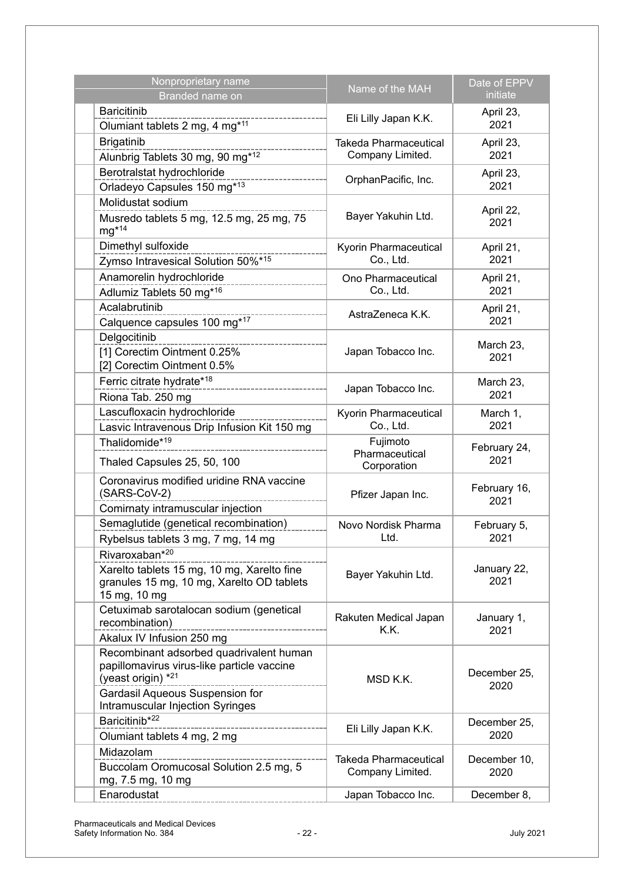| Nonproprietary name<br>Branded name on                                                                                                                                                  | Name of the MAH                                  | Date of EPPV<br>initiate |
|-----------------------------------------------------------------------------------------------------------------------------------------------------------------------------------------|--------------------------------------------------|--------------------------|
| <b>Baricitinib</b><br>Olumiant tablets 2 mg, 4 mg*11                                                                                                                                    | Eli Lilly Japan K.K.                             | April 23,<br>2021        |
| <b>Brigatinib</b><br>Alunbrig Tablets 30 mg, 90 mg*12                                                                                                                                   | <b>Takeda Pharmaceutical</b><br>Company Limited. | April 23,<br>2021        |
| Berotralstat hydrochloride<br>Orladeyo Capsules 150 mg*13                                                                                                                               | OrphanPacific, Inc.                              | April 23,<br>2021        |
| Molidustat sodium<br>Musredo tablets 5 mg, 12.5 mg, 25 mg, 75<br>$mg*14$                                                                                                                | Bayer Yakuhin Ltd.                               | April 22,<br>2021        |
| Dimethyl sulfoxide<br>Zymso Intravesical Solution 50%*15                                                                                                                                | Kyorin Pharmaceutical<br>Co., Ltd.               | April 21,<br>2021        |
| Anamorelin hydrochloride<br>Adlumiz Tablets 50 mg <sup>*16</sup>                                                                                                                        | Ono Pharmaceutical<br>Co., Ltd.                  | April 21,<br>2021        |
| Acalabrutinib<br>Calquence capsules 100 mg*17                                                                                                                                           | AstraZeneca K.K.                                 | April 21,<br>2021        |
| Delgocitinib<br>[1] Corectim Ointment 0.25%<br>[2] Corectim Ointment 0.5%                                                                                                               | Japan Tobacco Inc.                               | March 23,<br>2021        |
| Ferric citrate hydrate*18<br>Riona Tab. 250 mg                                                                                                                                          | Japan Tobacco Inc.                               | March 23,<br>2021        |
| Lascufloxacin hydrochloride<br>Lasvic Intravenous Drip Infusion Kit 150 mg                                                                                                              | Kyorin Pharmaceutical<br>Co., Ltd.               | March 1,<br>2021         |
| Thalidomide* <sup>19</sup><br>Thaled Capsules 25, 50, 100                                                                                                                               | Fujimoto<br>Pharmaceutical<br>Corporation        | February 24,<br>2021     |
| Coronavirus modified uridine RNA vaccine<br>(SARS-CoV-2)<br>Comirnaty intramuscular injection                                                                                           | Pfizer Japan Inc.                                | February 16,<br>2021     |
| Semaglutide (genetical recombination)<br>Rybelsus tablets 3 mg, 7 mg, 14 mg                                                                                                             | Novo Nordisk Pharma<br>Ltd.                      | February 5,<br>2021      |
| Rivaroxaban*20<br>Xarelto tablets 15 mg, 10 mg, Xarelto fine<br>granules 15 mg, 10 mg, Xarelto OD tablets<br>15 mg, 10 mg                                                               | Bayer Yakuhin Ltd.                               | January 22,<br>2021      |
| Cetuximab sarotalocan sodium (genetical<br>recombination)<br>Akalux IV Infusion 250 mg                                                                                                  | Rakuten Medical Japan<br>K.K.                    | January 1,<br>2021       |
| Recombinant adsorbed quadrivalent human<br>papillomavirus virus-like particle vaccine<br>(yeast origin) $*^{21}$<br>Gardasil Aqueous Suspension for<br>Intramuscular Injection Syringes | MSD K.K.                                         | December 25,<br>2020     |
| Baricitinib <sup>*22</sup><br>------------------<br>Olumiant tablets 4 mg, 2 mg                                                                                                         | Eli Lilly Japan K.K.                             | December 25,<br>2020     |
| Midazolam<br>Buccolam Oromucosal Solution 2.5 mg, 5<br>mg, 7.5 mg, 10 mg                                                                                                                | Takeda Pharmaceutical<br>Company Limited.        | December 10,<br>2020     |
| Enarodustat                                                                                                                                                                             | Japan Tobacco Inc.                               | December 8,              |